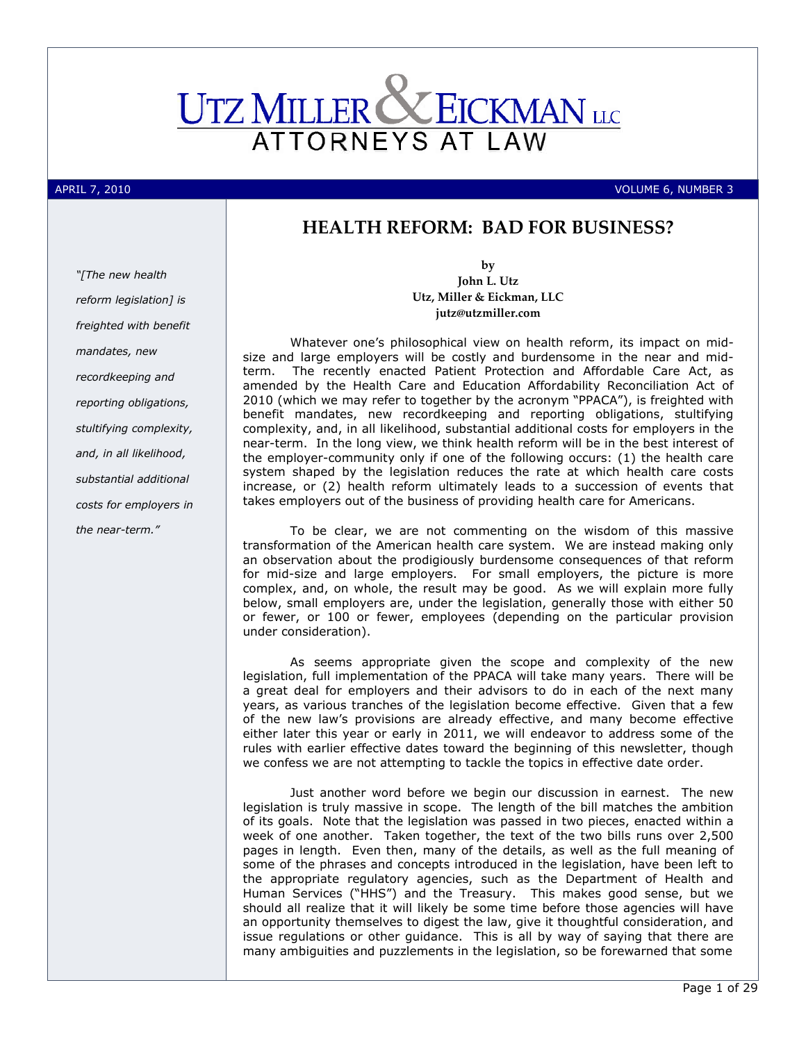

APRIL 7, 2010 VOLUME 6, NUMBER 3

# HEALTH REFORM: BAD FOR BUSINESS?

"[The new health reform legislation] is freighted with benefit mandates, new recordkeeping and reporting obligations, stultifying complexity, and, in all likelihood, substantial additional costs for employers in the near-term."

by John L. Utz Utz, Miller & Eickman, LLC jutz@utzmiller.com

Whatever one's philosophical view on health reform, its impact on midsize and large employers will be costly and burdensome in the near and midterm. The recently enacted Patient Protection and Affordable Care Act, as amended by the Health Care and Education Affordability Reconciliation Act of 2010 (which we may refer to together by the acronym "PPACA"), is freighted with benefit mandates, new recordkeeping and reporting obligations, stultifying complexity, and, in all likelihood, substantial additional costs for employers in the near-term. In the long view, we think health reform will be in the best interest of the employer-community only if one of the following occurs: (1) the health care system shaped by the legislation reduces the rate at which health care costs increase, or (2) health reform ultimately leads to a succession of events that takes employers out of the business of providing health care for Americans.

To be clear, we are not commenting on the wisdom of this massive transformation of the American health care system. We are instead making only an observation about the prodigiously burdensome consequences of that reform for mid-size and large employers. For small employers, the picture is more complex, and, on whole, the result may be good. As we will explain more fully below, small employers are, under the legislation, generally those with either 50 or fewer, or 100 or fewer, employees (depending on the particular provision under consideration).

As seems appropriate given the scope and complexity of the new legislation, full implementation of the PPACA will take many years. There will be a great deal for employers and their advisors to do in each of the next many years, as various tranches of the legislation become effective. Given that a few of the new law's provisions are already effective, and many become effective either later this year or early in 2011, we will endeavor to address some of the rules with earlier effective dates toward the beginning of this newsletter, though we confess we are not attempting to tackle the topics in effective date order.

Just another word before we begin our discussion in earnest. The new legislation is truly massive in scope. The length of the bill matches the ambition of its goals. Note that the legislation was passed in two pieces, enacted within a week of one another. Taken together, the text of the two bills runs over 2,500 pages in length. Even then, many of the details, as well as the full meaning of some of the phrases and concepts introduced in the legislation, have been left to the appropriate regulatory agencies, such as the Department of Health and Human Services ("HHS") and the Treasury. This makes good sense, but we should all realize that it will likely be some time before those agencies will have an opportunity themselves to digest the law, give it thoughtful consideration, and issue regulations or other guidance. This is all by way of saying that there are many ambiguities and puzzlements in the legislation, so be forewarned that some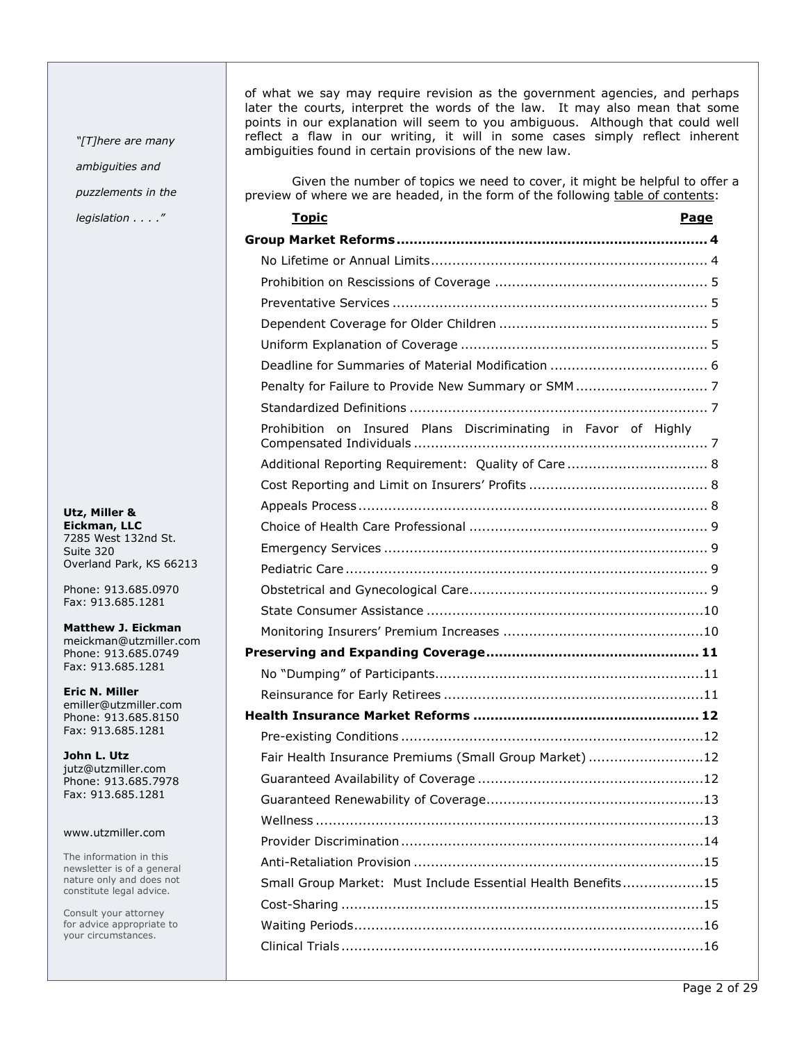"[T]here are many ambiguities and puzzlements in the legislation . . . ."

Utz, Miller & Eickman, LLC 7285 West 132nd St. Suite 320 Overland Park, KS 66213

Phone: 913.685.0970 Fax: 913.685.1281

Matthew J. Eickman meickman@utzmiller.com Phone: 913.685.0749 Fax: 913.685.1281

Eric N. Miller emiller@utzmiller.com Phone: 913.685.8150 Fax: 913.685.1281

John L. Utz jutz@utzmiller.com Phone: 913.685.7978 Fax: 913.685.1281

### www.utzmiller.com

The information in this newsletter is of a general nature only and does not constitute legal advice.

Consult your attorney for advice appropriate to your circumstances.

of what we say may require revision as the government agencies, and perhaps later the courts, interpret the words of the law. It may also mean that some points in our explanation will seem to you ambiguous. Although that could well reflect a flaw in our writing, it will in some cases simply reflect inherent ambiguities found in certain provisions of the new law.

Given the number of topics we need to cover, it might be helpful to offer a preview of where we are headed, in the form of the following table of contents:

| <u>Topic</u><br>Page                                              |
|-------------------------------------------------------------------|
|                                                                   |
|                                                                   |
|                                                                   |
|                                                                   |
|                                                                   |
|                                                                   |
|                                                                   |
|                                                                   |
|                                                                   |
| Insured Plans Discriminating in Favor of Highly<br>Prohibition on |
| Additional Reporting Requirement: Quality of Care  8              |
|                                                                   |
|                                                                   |
|                                                                   |
|                                                                   |
|                                                                   |
|                                                                   |
|                                                                   |
|                                                                   |
|                                                                   |
|                                                                   |
|                                                                   |
|                                                                   |
|                                                                   |
| Fair Health Insurance Premiums (Small Group Market) 12            |
|                                                                   |
|                                                                   |
|                                                                   |
|                                                                   |
|                                                                   |
| Small Group Market: Must Include Essential Health Benefits15      |
|                                                                   |
|                                                                   |
|                                                                   |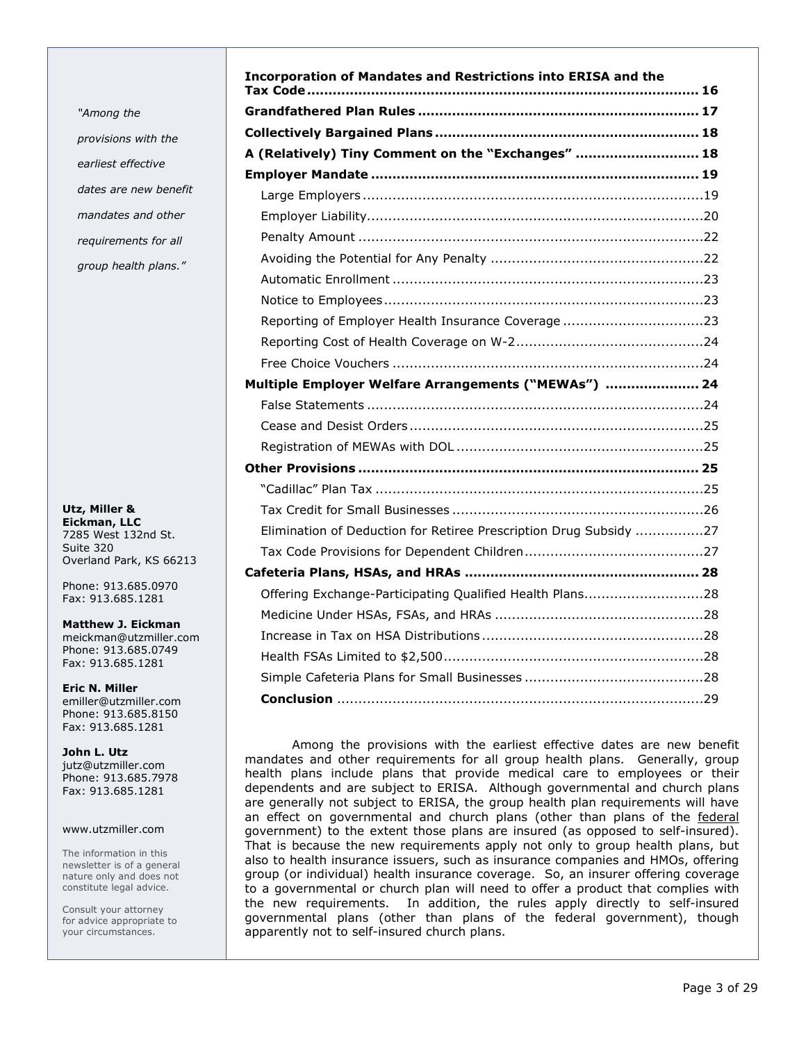"Among the provisions with the earliest effective dates are new benefit mandates and other requirements for all group health plans."

Utz, Miller & Eickman, LLC 7285 West 132nd St. Suite 320 Overland Park, KS 66213

Phone: 913.685.0970 Fax: 913.685.1281

Matthew J. Eickman meickman@utzmiller.com Phone: 913.685.0749 Fax: 913.685.1281

Eric N. Miller emiller@utzmiller.com Phone: 913.685.8150 Fax: 913.685.1281

John L. Utz jutz@utzmiller.com Phone: 913.685.7978 Fax: 913.685.1281

### www.utzmiller.com

The information in this newsletter is of a general nature only and does not constitute legal advice.

Consult your attorney for advice appropriate to your circumstances.

| <b>Incorporation of Mandates and Restrictions into ERISA and the</b> |
|----------------------------------------------------------------------|
|                                                                      |
|                                                                      |
| A (Relatively) Tiny Comment on the "Exchanges"  18                   |
|                                                                      |
|                                                                      |
|                                                                      |
|                                                                      |
|                                                                      |
|                                                                      |
|                                                                      |
| Reporting of Employer Health Insurance Coverage23                    |
|                                                                      |
|                                                                      |
| Multiple Employer Welfare Arrangements ("MEWAs")  24                 |
|                                                                      |
|                                                                      |
|                                                                      |
|                                                                      |
|                                                                      |
|                                                                      |
| Elimination of Deduction for Retiree Prescription Drug Subsidy 27    |
|                                                                      |
|                                                                      |
| Offering Exchange-Participating Qualified Health Plans28             |
|                                                                      |
|                                                                      |
|                                                                      |
|                                                                      |
|                                                                      |

Among the provisions with the earliest effective dates are new benefit mandates and other requirements for all group health plans. Generally, group health plans include plans that provide medical care to employees or their dependents and are subject to ERISA. Although governmental and church plans are generally not subject to ERISA, the group health plan requirements will have an effect on governmental and church plans (other than plans of the federal government) to the extent those plans are insured (as opposed to self-insured). That is because the new requirements apply not only to group health plans, but also to health insurance issuers, such as insurance companies and HMOs, offering group (or individual) health insurance coverage. So, an insurer offering coverage to a governmental or church plan will need to offer a product that complies with the new requirements. In addition, the rules apply directly to self-insured governmental plans (other than plans of the federal government), though apparently not to self-insured church plans.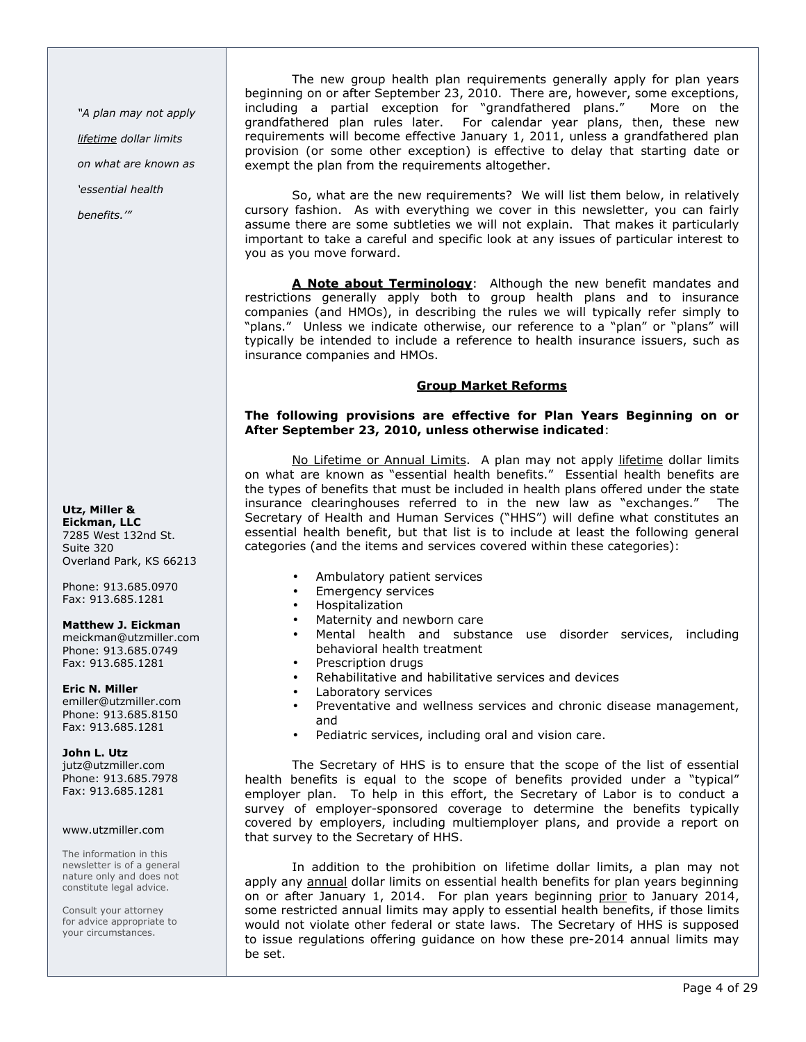"A plan may not apply lifetime dollar limits

on what are known as

'essential health

benefits.'"

Utz, Miller & Eickman, LLC 7285 West 132nd St. Suite 320 Overland Park, KS 66213

Phone: 913.685.0970 Fax: 913.685.1281

### Matthew J. Eickman

meickman@utzmiller.com Phone: 913.685.0749 Fax: 913.685.1281

Eric N. Miller

emiller@utzmiller.com Phone: 913.685.8150 Fax: 913.685.1281

### John L. Utz

jutz@utzmiller.com Phone: 913.685.7978 Fax: 913.685.1281

### www.utzmiller.com

The information in this newsletter is of a general nature only and does not constitute legal advice.

Consult your attorney for advice appropriate to your circumstances.

The new group health plan requirements generally apply for plan years beginning on or after September 23, 2010. There are, however, some exceptions, including a partial exception for "grandfathered plans." More on the grandfathered plan rules later. For calendar year plans, then, these new requirements will become effective January 1, 2011, unless a grandfathered plan provision (or some other exception) is effective to delay that starting date or exempt the plan from the requirements altogether.

So, what are the new requirements? We will list them below, in relatively cursory fashion. As with everything we cover in this newsletter, you can fairly assume there are some subtleties we will not explain. That makes it particularly important to take a careful and specific look at any issues of particular interest to you as you move forward.

A Note about Terminology: Although the new benefit mandates and restrictions generally apply both to group health plans and to insurance companies (and HMOs), in describing the rules we will typically refer simply to "plans." Unless we indicate otherwise, our reference to a "plan" or "plans" will typically be intended to include a reference to health insurance issuers, such as insurance companies and HMOs.

# Group Market Reforms

# The following provisions are effective for Plan Years Beginning on or After September 23, 2010, unless otherwise indicated:

No Lifetime or Annual Limits. A plan may not apply lifetime dollar limits on what are known as "essential health benefits." Essential health benefits are the types of benefits that must be included in health plans offered under the state insurance clearinghouses referred to in the new law as "exchanges." The Secretary of Health and Human Services ("HHS") will define what constitutes an essential health benefit, but that list is to include at least the following general categories (and the items and services covered within these categories):

- Ambulatory patient services
- Emergency services
- Hospitalization
- Maternity and newborn care
- Mental health and substance use disorder services, including behavioral health treatment
- Prescription drugs
- Rehabilitative and habilitative services and devices
- Laboratory services
- Preventative and wellness services and chronic disease management, and
- Pediatric services, including oral and vision care.

The Secretary of HHS is to ensure that the scope of the list of essential health benefits is equal to the scope of benefits provided under a "typical" employer plan. To help in this effort, the Secretary of Labor is to conduct a survey of employer-sponsored coverage to determine the benefits typically covered by employers, including multiemployer plans, and provide a report on that survey to the Secretary of HHS.

In addition to the prohibition on lifetime dollar limits, a plan may not apply any annual dollar limits on essential health benefits for plan years beginning on or after January 1, 2014. For plan years beginning prior to January 2014, some restricted annual limits may apply to essential health benefits, if those limits would not violate other federal or state laws. The Secretary of HHS is supposed to issue regulations offering guidance on how these pre-2014 annual limits may be set.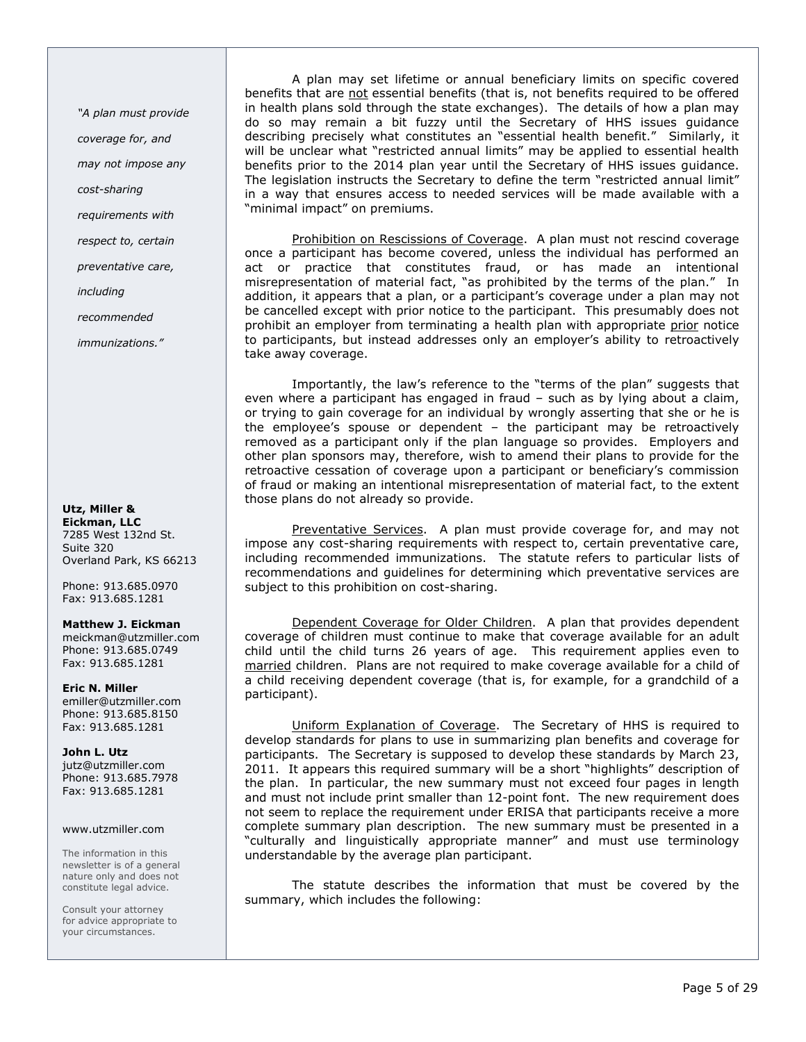"A plan must provide

coverage for, and

may not impose any

cost-sharing

requirements with

respect to, certain

preventative care,

including

recommended

immunizations."

### Utz, Miller & Eickman, LLC 7285 West 132nd St. Suite 320

Overland Park, KS 66213

Phone: 913.685.0970 Fax: 913.685.1281

### Matthew J. Eickman

meickman@utzmiller.com Phone: 913.685.0749 Fax: 913.685.1281

Eric N. Miller emiller@utzmiller.com Phone: 913.685.8150 Fax: 913.685.1281

John L. Utz jutz@utzmiller.com Phone: 913.685.7978 Fax: 913.685.1281

### www.utzmiller.com

The information in this newsletter is of a general nature only and does not constitute legal advice.

Consult your attorney for advice appropriate to your circumstances.

A plan may set lifetime or annual beneficiary limits on specific covered benefits that are not essential benefits (that is, not benefits required to be offered in health plans sold through the state exchanges). The details of how a plan may do so may remain a bit fuzzy until the Secretary of HHS issues guidance describing precisely what constitutes an "essential health benefit." Similarly, it will be unclear what "restricted annual limits" may be applied to essential health benefits prior to the 2014 plan year until the Secretary of HHS issues guidance. The legislation instructs the Secretary to define the term "restricted annual limit" in a way that ensures access to needed services will be made available with a "minimal impact" on premiums.

Prohibition on Rescissions of Coverage. A plan must not rescind coverage once a participant has become covered, unless the individual has performed an act or practice that constitutes fraud, or has made an intentional misrepresentation of material fact, "as prohibited by the terms of the plan." In addition, it appears that a plan, or a participant's coverage under a plan may not be cancelled except with prior notice to the participant. This presumably does not prohibit an employer from terminating a health plan with appropriate prior notice to participants, but instead addresses only an employer's ability to retroactively take away coverage.

Importantly, the law's reference to the "terms of the plan" suggests that even where a participant has engaged in fraud – such as by lying about a claim, or trying to gain coverage for an individual by wrongly asserting that she or he is the employee's spouse or dependent – the participant may be retroactively removed as a participant only if the plan language so provides. Employers and other plan sponsors may, therefore, wish to amend their plans to provide for the retroactive cessation of coverage upon a participant or beneficiary's commission of fraud or making an intentional misrepresentation of material fact, to the extent those plans do not already so provide.

Preventative Services. A plan must provide coverage for, and may not impose any cost-sharing requirements with respect to, certain preventative care, including recommended immunizations. The statute refers to particular lists of recommendations and guidelines for determining which preventative services are subject to this prohibition on cost-sharing.

Dependent Coverage for Older Children. A plan that provides dependent coverage of children must continue to make that coverage available for an adult child until the child turns 26 years of age. This requirement applies even to married children. Plans are not required to make coverage available for a child of a child receiving dependent coverage (that is, for example, for a grandchild of a participant).

Uniform Explanation of Coverage. The Secretary of HHS is required to develop standards for plans to use in summarizing plan benefits and coverage for participants. The Secretary is supposed to develop these standards by March 23, 2011. It appears this required summary will be a short "highlights" description of the plan. In particular, the new summary must not exceed four pages in length and must not include print smaller than 12-point font. The new requirement does not seem to replace the requirement under ERISA that participants receive a more complete summary plan description. The new summary must be presented in a "culturally and linguistically appropriate manner" and must use terminology understandable by the average plan participant.

The statute describes the information that must be covered by the summary, which includes the following: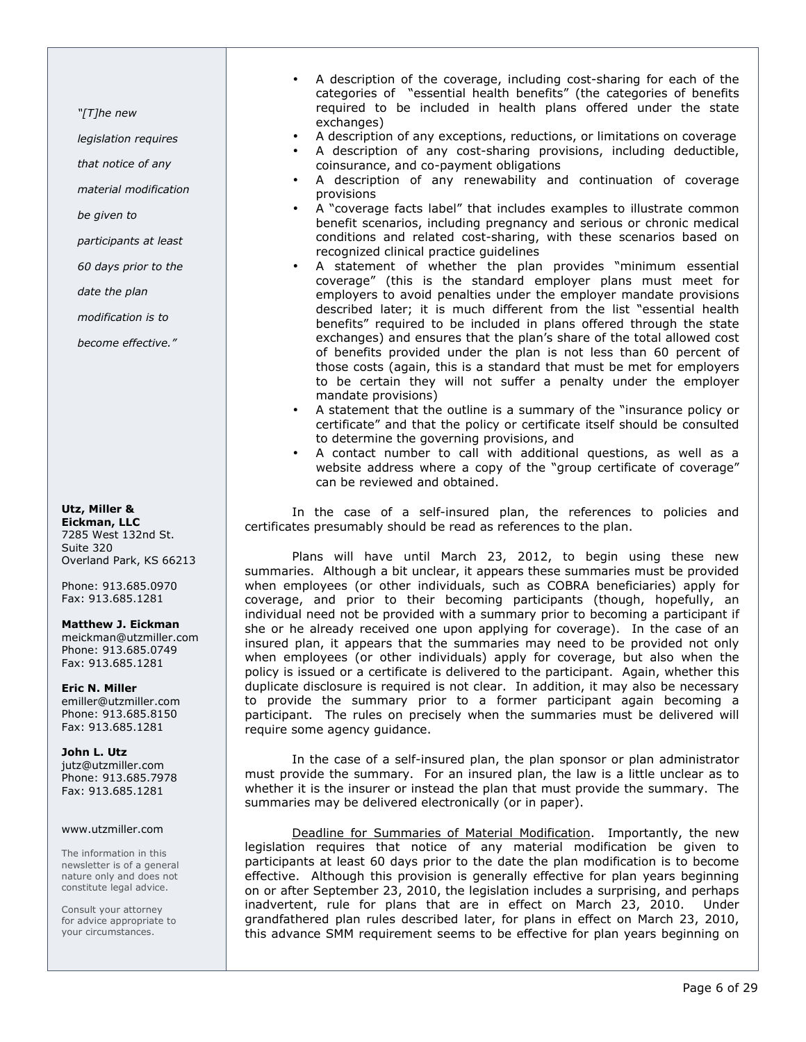"[T]he new

legislation requires

that notice of any

material modification

be given to

participants at least

60 days prior to the

date the plan

modification is to

become effective."

Utz, Miller & Eickman, LLC 7285 West 132nd St. Suite 320

Overland Park, KS 66213

Phone: 913.685.0970 Fax: 913.685.1281

Matthew J. Eickman meickman@utzmiller.com Phone: 913.685.0749 Fax: 913.685.1281

Eric N. Miller emiller@utzmiller.com Phone: 913.685.8150 Fax: 913.685.1281

John L. Utz jutz@utzmiller.com Phone: 913.685.7978 Fax: 913.685.1281

### www.utzmiller.com

The information in this newsletter is of a general nature only and does not constitute legal advice.

Consult your attorney for advice appropriate to your circumstances.

- A description of the coverage, including cost-sharing for each of the categories of "essential health benefits" (the categories of benefits required to be included in health plans offered under the state exchanges)
- A description of any exceptions, reductions, or limitations on coverage
- A description of any cost-sharing provisions, including deductible, coinsurance, and co-payment obligations
- A description of any renewability and continuation of coverage provisions
- A "coverage facts label" that includes examples to illustrate common benefit scenarios, including pregnancy and serious or chronic medical conditions and related cost-sharing, with these scenarios based on recognized clinical practice guidelines
- A statement of whether the plan provides "minimum essential coverage" (this is the standard employer plans must meet for employers to avoid penalties under the employer mandate provisions described later; it is much different from the list "essential health benefits" required to be included in plans offered through the state exchanges) and ensures that the plan's share of the total allowed cost of benefits provided under the plan is not less than 60 percent of those costs (again, this is a standard that must be met for employers to be certain they will not suffer a penalty under the employer mandate provisions)
- A statement that the outline is a summary of the "insurance policy or certificate" and that the policy or certificate itself should be consulted to determine the governing provisions, and
- A contact number to call with additional questions, as well as a website address where a copy of the "group certificate of coverage" can be reviewed and obtained.

In the case of a self-insured plan, the references to policies and certificates presumably should be read as references to the plan.

Plans will have until March 23, 2012, to begin using these new summaries. Although a bit unclear, it appears these summaries must be provided when employees (or other individuals, such as COBRA beneficiaries) apply for coverage, and prior to their becoming participants (though, hopefully, an individual need not be provided with a summary prior to becoming a participant if she or he already received one upon applying for coverage). In the case of an insured plan, it appears that the summaries may need to be provided not only when employees (or other individuals) apply for coverage, but also when the policy is issued or a certificate is delivered to the participant. Again, whether this duplicate disclosure is required is not clear. In addition, it may also be necessary to provide the summary prior to a former participant again becoming a participant. The rules on precisely when the summaries must be delivered will require some agency guidance.

In the case of a self-insured plan, the plan sponsor or plan administrator must provide the summary. For an insured plan, the law is a little unclear as to whether it is the insurer or instead the plan that must provide the summary. The summaries may be delivered electronically (or in paper).

Deadline for Summaries of Material Modification. Importantly, the new legislation requires that notice of any material modification be given to participants at least 60 days prior to the date the plan modification is to become effective. Although this provision is generally effective for plan years beginning on or after September 23, 2010, the legislation includes a surprising, and perhaps inadvertent, rule for plans that are in effect on March 23, 2010. Under grandfathered plan rules described later, for plans in effect on March 23, 2010, this advance SMM requirement seems to be effective for plan years beginning on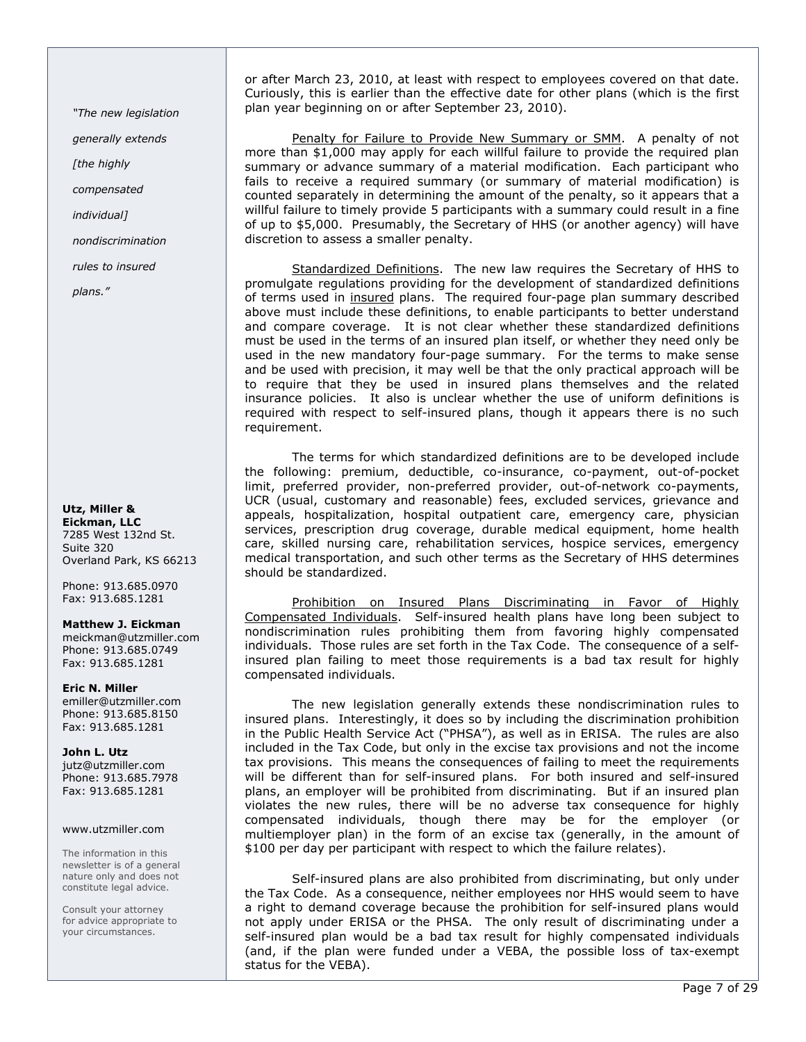"The new legislation

generally extends

[the highly

compensated

individual]

nondiscrimination

rules to insured

plans."

Utz, Miller & Eickman, LLC 7285 West 132nd St. Suite 320 Overland Park, KS 66213

Phone: 913.685.0970 Fax: 913.685.1281

Matthew J. Eickman meickman@utzmiller.com Phone: 913.685.0749 Fax: 913.685.1281

Eric N. Miller emiller@utzmiller.com Phone: 913.685.8150 Fax: 913.685.1281

John L. Utz jutz@utzmiller.com Phone: 913.685.7978 Fax: 913.685.1281

### www.utzmiller.com

The information in this newsletter is of a general nature only and does not constitute legal advice.

Consult your attorney for advice appropriate to your circumstances.

or after March 23, 2010, at least with respect to employees covered on that date. Curiously, this is earlier than the effective date for other plans (which is the first plan year beginning on or after September 23, 2010).

Penalty for Failure to Provide New Summary or SMM. A penalty of not more than \$1,000 may apply for each willful failure to provide the required plan summary or advance summary of a material modification. Each participant who fails to receive a required summary (or summary of material modification) is counted separately in determining the amount of the penalty, so it appears that a willful failure to timely provide 5 participants with a summary could result in a fine of up to \$5,000. Presumably, the Secretary of HHS (or another agency) will have discretion to assess a smaller penalty.

Standardized Definitions. The new law requires the Secretary of HHS to promulgate regulations providing for the development of standardized definitions of terms used in insured plans. The required four-page plan summary described above must include these definitions, to enable participants to better understand and compare coverage. It is not clear whether these standardized definitions must be used in the terms of an insured plan itself, or whether they need only be used in the new mandatory four-page summary. For the terms to make sense and be used with precision, it may well be that the only practical approach will be to require that they be used in insured plans themselves and the related insurance policies. It also is unclear whether the use of uniform definitions is required with respect to self-insured plans, though it appears there is no such requirement.

The terms for which standardized definitions are to be developed include the following: premium, deductible, co-insurance, co-payment, out-of-pocket limit, preferred provider, non-preferred provider, out-of-network co-payments, UCR (usual, customary and reasonable) fees, excluded services, grievance and appeals, hospitalization, hospital outpatient care, emergency care, physician services, prescription drug coverage, durable medical equipment, home health care, skilled nursing care, rehabilitation services, hospice services, emergency medical transportation, and such other terms as the Secretary of HHS determines should be standardized.

Prohibition on Insured Plans Discriminating in Favor of Highly Compensated Individuals. Self-insured health plans have long been subject to nondiscrimination rules prohibiting them from favoring highly compensated individuals. Those rules are set forth in the Tax Code. The consequence of a selfinsured plan failing to meet those requirements is a bad tax result for highly compensated individuals.

The new legislation generally extends these nondiscrimination rules to insured plans. Interestingly, it does so by including the discrimination prohibition in the Public Health Service Act ("PHSA"), as well as in ERISA. The rules are also included in the Tax Code, but only in the excise tax provisions and not the income tax provisions. This means the consequences of failing to meet the requirements will be different than for self-insured plans. For both insured and self-insured plans, an employer will be prohibited from discriminating. But if an insured plan violates the new rules, there will be no adverse tax consequence for highly compensated individuals, though there may be for the employer (or multiemployer plan) in the form of an excise tax (generally, in the amount of \$100 per day per participant with respect to which the failure relates).

Self-insured plans are also prohibited from discriminating, but only under the Tax Code. As a consequence, neither employees nor HHS would seem to have a right to demand coverage because the prohibition for self-insured plans would not apply under ERISA or the PHSA. The only result of discriminating under a self-insured plan would be a bad tax result for highly compensated individuals (and, if the plan were funded under a VEBA, the possible loss of tax-exempt status for the VEBA).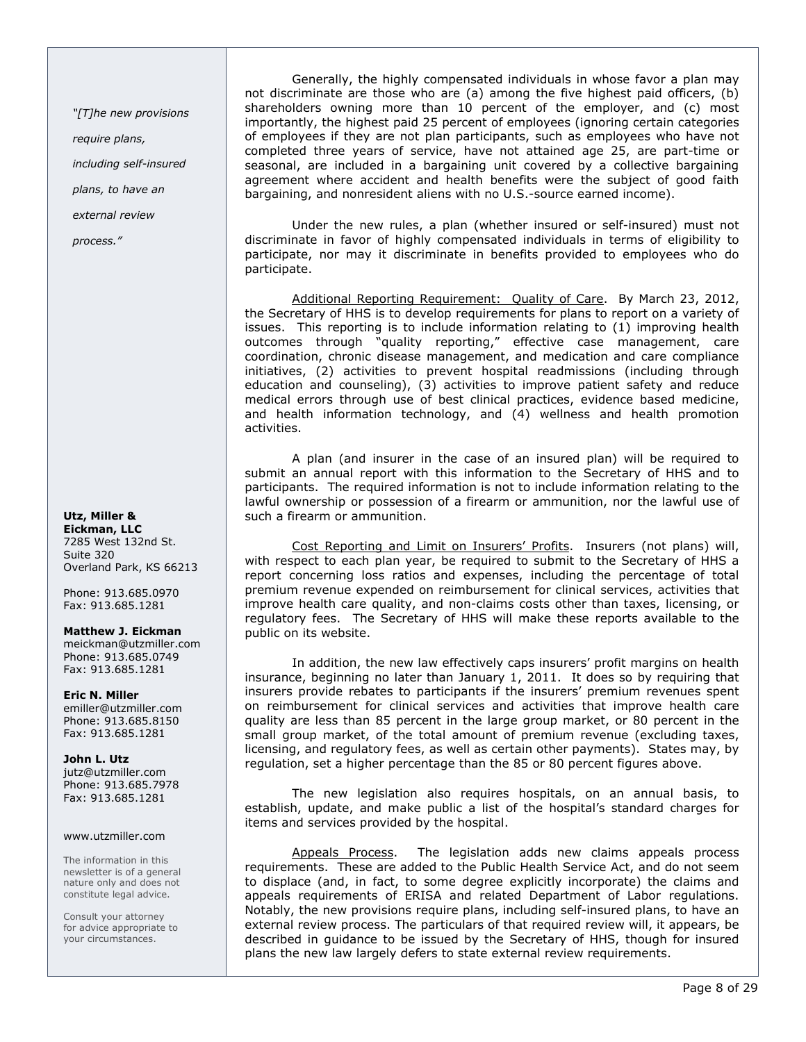"[T]he new provisions require plans, including self-insured plans, to have an

external review

process."

#### Utz, Miller & Eickman, LLC 7285 West 132nd St. Suite 320

Overland Park, KS 66213 Phone: 913.685.0970 Fax: 913.685.1281

### Matthew J. Eickman

meickman@utzmiller.com Phone: 913.685.0749 Fax: 913.685.1281

Eric N. Miller emiller@utzmiller.com Phone: 913.685.8150 Fax: 913.685.1281

John L. Utz jutz@utzmiller.com Phone: 913.685.7978 Fax: 913.685.1281

### www.utzmiller.com

The information in this newsletter is of a general nature only and does not constitute legal advice.

Consult your attorney for advice appropriate to your circumstances.

Generally, the highly compensated individuals in whose favor a plan may not discriminate are those who are (a) among the five highest paid officers, (b) shareholders owning more than 10 percent of the employer, and (c) most importantly, the highest paid 25 percent of employees (ignoring certain categories of employees if they are not plan participants, such as employees who have not completed three years of service, have not attained age 25, are part-time or seasonal, are included in a bargaining unit covered by a collective bargaining agreement where accident and health benefits were the subject of good faith bargaining, and nonresident aliens with no U.S.-source earned income).

Under the new rules, a plan (whether insured or self-insured) must not discriminate in favor of highly compensated individuals in terms of eligibility to participate, nor may it discriminate in benefits provided to employees who do participate.

Additional Reporting Requirement: Quality of Care. By March 23, 2012, the Secretary of HHS is to develop requirements for plans to report on a variety of issues. This reporting is to include information relating to (1) improving health outcomes through "quality reporting," effective case management, care coordination, chronic disease management, and medication and care compliance initiatives, (2) activities to prevent hospital readmissions (including through education and counseling), (3) activities to improve patient safety and reduce medical errors through use of best clinical practices, evidence based medicine, and health information technology, and (4) wellness and health promotion activities.

A plan (and insurer in the case of an insured plan) will be required to submit an annual report with this information to the Secretary of HHS and to participants. The required information is not to include information relating to the lawful ownership or possession of a firearm or ammunition, nor the lawful use of such a firearm or ammunition.

Cost Reporting and Limit on Insurers' Profits. Insurers (not plans) will, with respect to each plan year, be required to submit to the Secretary of HHS a report concerning loss ratios and expenses, including the percentage of total premium revenue expended on reimbursement for clinical services, activities that improve health care quality, and non-claims costs other than taxes, licensing, or regulatory fees. The Secretary of HHS will make these reports available to the public on its website.

In addition, the new law effectively caps insurers' profit margins on health insurance, beginning no later than January 1, 2011. It does so by requiring that insurers provide rebates to participants if the insurers' premium revenues spent on reimbursement for clinical services and activities that improve health care quality are less than 85 percent in the large group market, or 80 percent in the small group market, of the total amount of premium revenue (excluding taxes, licensing, and regulatory fees, as well as certain other payments). States may, by regulation, set a higher percentage than the 85 or 80 percent figures above.

The new legislation also requires hospitals, on an annual basis, to establish, update, and make public a list of the hospital's standard charges for items and services provided by the hospital.

Appeals Process. The legislation adds new claims appeals process requirements. These are added to the Public Health Service Act, and do not seem to displace (and, in fact, to some degree explicitly incorporate) the claims and appeals requirements of ERISA and related Department of Labor regulations. Notably, the new provisions require plans, including self-insured plans, to have an external review process. The particulars of that required review will, it appears, be described in guidance to be issued by the Secretary of HHS, though for insured plans the new law largely defers to state external review requirements.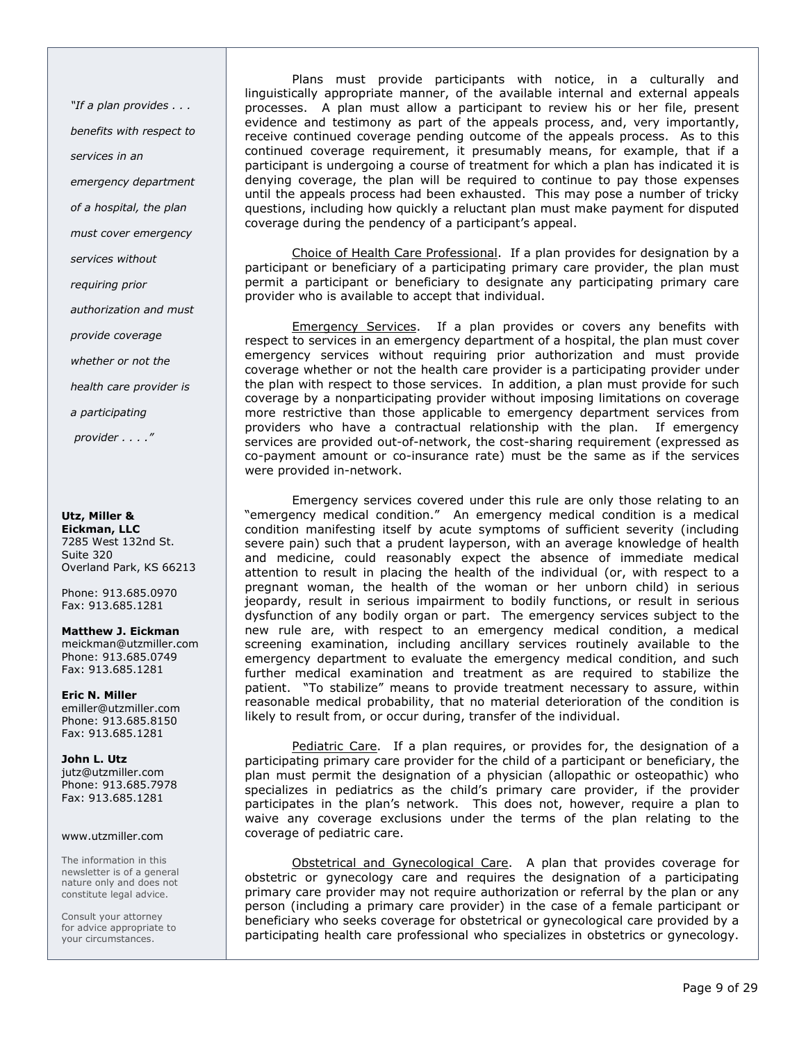"If a plan provides . . . benefits with respect to services in an emergency department of a hospital, the plan must cover emergency services without requiring prior authorization and must provide coverage whether or not the health care provider is a participating provider . . . ."

### Utz, Miller &

Eickman, LLC 7285 West 132nd St. Suite 320 Overland Park, KS 66213

Phone: 913.685.0970 Fax: 913.685.1281

Matthew J. Eickman meickman@utzmiller.com Phone: 913.685.0749 Fax: 913.685.1281

Eric N. Miller emiller@utzmiller.com Phone: 913.685.8150 Fax: 913.685.1281

John L. Utz

jutz@utzmiller.com Phone: 913.685.7978 Fax: 913.685.1281

### www.utzmiller.com

The information in this newsletter is of a general nature only and does not constitute legal advice.

Consult your attorney for advice appropriate to your circumstances.

Plans must provide participants with notice, in a culturally and linguistically appropriate manner, of the available internal and external appeals processes. A plan must allow a participant to review his or her file, present evidence and testimony as part of the appeals process, and, very importantly, receive continued coverage pending outcome of the appeals process. As to this continued coverage requirement, it presumably means, for example, that if a participant is undergoing a course of treatment for which a plan has indicated it is denying coverage, the plan will be required to continue to pay those expenses until the appeals process had been exhausted. This may pose a number of tricky questions, including how quickly a reluctant plan must make payment for disputed coverage during the pendency of a participant's appeal.

Choice of Health Care Professional. If a plan provides for designation by a participant or beneficiary of a participating primary care provider, the plan must permit a participant or beneficiary to designate any participating primary care provider who is available to accept that individual.

Emergency Services. If a plan provides or covers any benefits with respect to services in an emergency department of a hospital, the plan must cover emergency services without requiring prior authorization and must provide coverage whether or not the health care provider is a participating provider under the plan with respect to those services. In addition, a plan must provide for such coverage by a nonparticipating provider without imposing limitations on coverage more restrictive than those applicable to emergency department services from providers who have a contractual relationship with the plan. If emergency services are provided out-of-network, the cost-sharing requirement (expressed as co-payment amount or co-insurance rate) must be the same as if the services were provided in-network.

Emergency services covered under this rule are only those relating to an "emergency medical condition." An emergency medical condition is a medical condition manifesting itself by acute symptoms of sufficient severity (including severe pain) such that a prudent layperson, with an average knowledge of health and medicine, could reasonably expect the absence of immediate medical attention to result in placing the health of the individual (or, with respect to a pregnant woman, the health of the woman or her unborn child) in serious jeopardy, result in serious impairment to bodily functions, or result in serious dysfunction of any bodily organ or part. The emergency services subject to the new rule are, with respect to an emergency medical condition, a medical screening examination, including ancillary services routinely available to the emergency department to evaluate the emergency medical condition, and such further medical examination and treatment as are required to stabilize the patient. "To stabilize" means to provide treatment necessary to assure, within reasonable medical probability, that no material deterioration of the condition is likely to result from, or occur during, transfer of the individual.

Pediatric Care. If a plan requires, or provides for, the designation of a participating primary care provider for the child of a participant or beneficiary, the plan must permit the designation of a physician (allopathic or osteopathic) who specializes in pediatrics as the child's primary care provider, if the provider participates in the plan's network. This does not, however, require a plan to waive any coverage exclusions under the terms of the plan relating to the coverage of pediatric care.

Obstetrical and Gynecological Care. A plan that provides coverage for obstetric or gynecology care and requires the designation of a participating primary care provider may not require authorization or referral by the plan or any person (including a primary care provider) in the case of a female participant or beneficiary who seeks coverage for obstetrical or gynecological care provided by a participating health care professional who specializes in obstetrics or gynecology.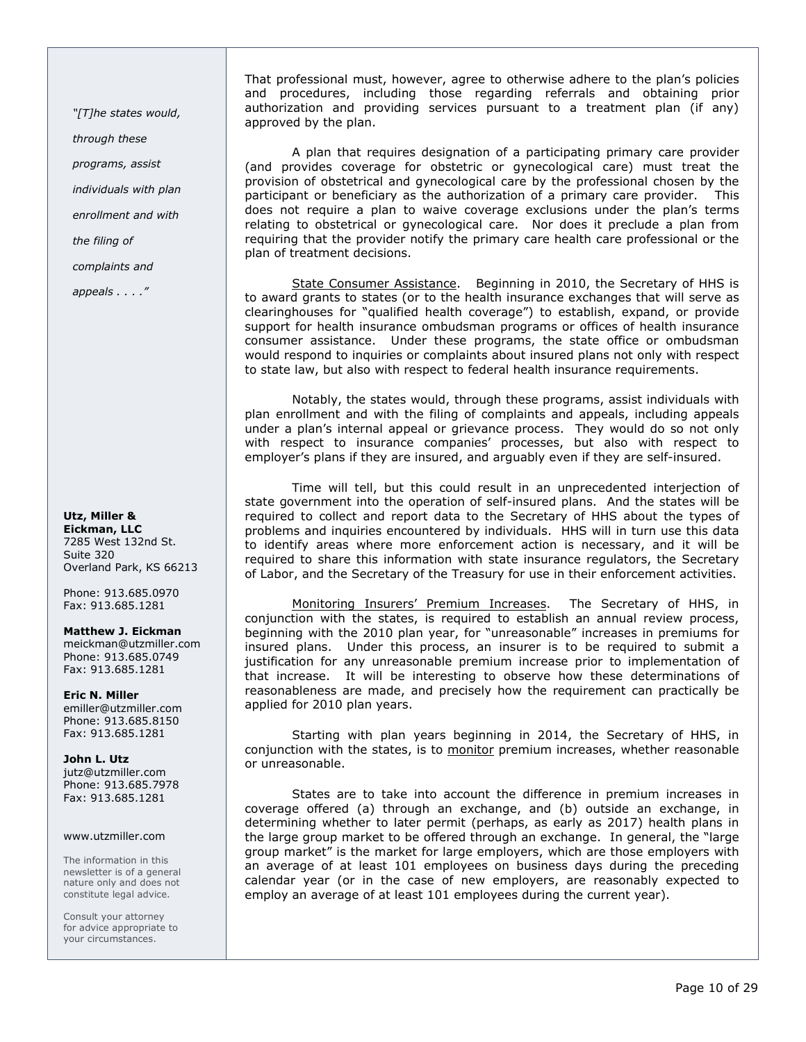"[T]he states would,

through these

programs, assist

individuals with plan

enrollment and with

the filing of

complaints and

appeals . . . ."

### Utz, Miller & Eickman, LLC 7285 West 132nd St. Suite 320 Overland Park, KS 66213

Phone: 913.685.0970 Fax: 913.685.1281

### Matthew J. Eickman

meickman@utzmiller.com Phone: 913.685.0749 Fax: 913.685.1281

# Eric N. Miller

emiller@utzmiller.com Phone: 913.685.8150 Fax: 913.685.1281

### John L. Utz

jutz@utzmiller.com Phone: 913.685.7978 Fax: 913.685.1281

### www.utzmiller.com

The information in this newsletter is of a general nature only and does not constitute legal advice.

Consult your attorney for advice appropriate to your circumstances.

That professional must, however, agree to otherwise adhere to the plan's policies and procedures, including those regarding referrals and obtaining prior authorization and providing services pursuant to a treatment plan (if any) approved by the plan.

A plan that requires designation of a participating primary care provider (and provides coverage for obstetric or gynecological care) must treat the provision of obstetrical and gynecological care by the professional chosen by the participant or beneficiary as the authorization of a primary care provider. This does not require a plan to waive coverage exclusions under the plan's terms relating to obstetrical or gynecological care. Nor does it preclude a plan from requiring that the provider notify the primary care health care professional or the plan of treatment decisions.

State Consumer Assistance. Beginning in 2010, the Secretary of HHS is to award grants to states (or to the health insurance exchanges that will serve as clearinghouses for "qualified health coverage") to establish, expand, or provide support for health insurance ombudsman programs or offices of health insurance consumer assistance. Under these programs, the state office or ombudsman would respond to inquiries or complaints about insured plans not only with respect to state law, but also with respect to federal health insurance requirements.

Notably, the states would, through these programs, assist individuals with plan enrollment and with the filing of complaints and appeals, including appeals under a plan's internal appeal or grievance process. They would do so not only with respect to insurance companies' processes, but also with respect to employer's plans if they are insured, and arguably even if they are self-insured.

Time will tell, but this could result in an unprecedented interjection of state government into the operation of self-insured plans. And the states will be required to collect and report data to the Secretary of HHS about the types of problems and inquiries encountered by individuals. HHS will in turn use this data to identify areas where more enforcement action is necessary, and it will be required to share this information with state insurance regulators, the Secretary of Labor, and the Secretary of the Treasury for use in their enforcement activities.

Monitoring Insurers' Premium Increases. The Secretary of HHS, in conjunction with the states, is required to establish an annual review process, beginning with the 2010 plan year, for "unreasonable" increases in premiums for insured plans. Under this process, an insurer is to be required to submit a justification for any unreasonable premium increase prior to implementation of that increase. It will be interesting to observe how these determinations of reasonableness are made, and precisely how the requirement can practically be applied for 2010 plan years.

Starting with plan years beginning in 2014, the Secretary of HHS, in conjunction with the states, is to monitor premium increases, whether reasonable or unreasonable.

States are to take into account the difference in premium increases in coverage offered (a) through an exchange, and (b) outside an exchange, in determining whether to later permit (perhaps, as early as 2017) health plans in the large group market to be offered through an exchange. In general, the "large group market" is the market for large employers, which are those employers with an average of at least 101 employees on business days during the preceding calendar year (or in the case of new employers, are reasonably expected to employ an average of at least 101 employees during the current year).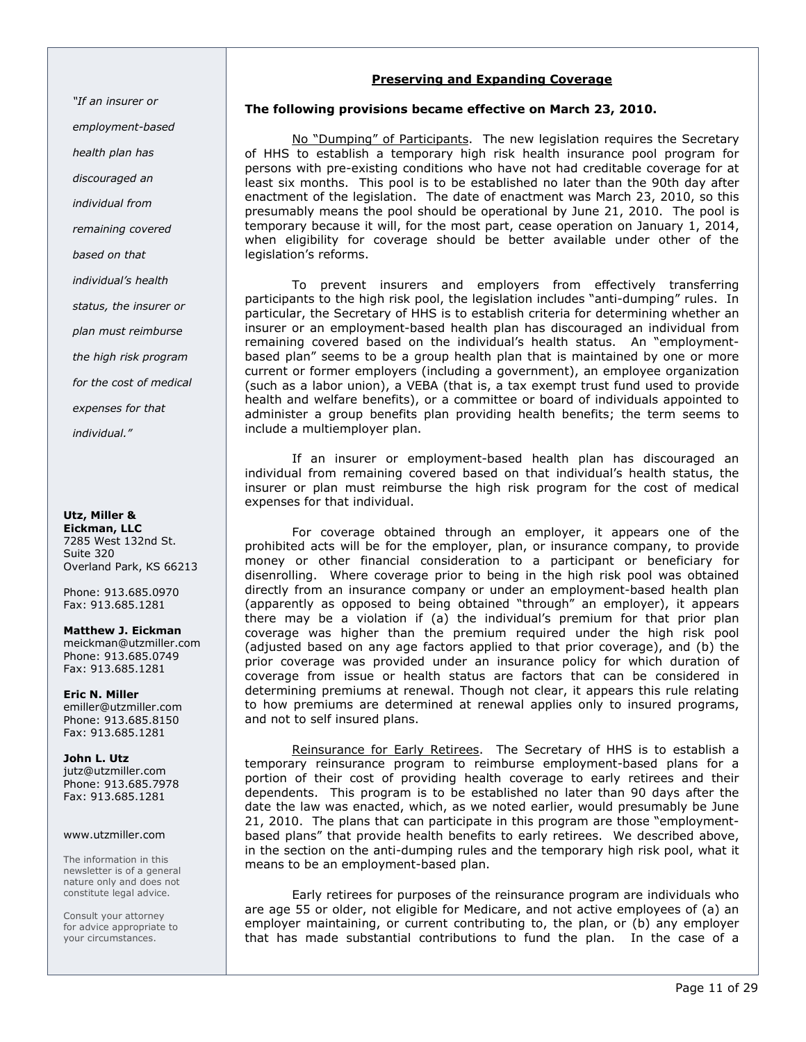"If an insurer or employment-based health plan has discouraged an individual from remaining covered based on that individual's health status, the insurer or plan must reimburse the high risk program for the cost of medical expenses for that individual."

# Utz, Miller &

Eickman, LLC 7285 West 132nd St. Suite 320 Overland Park, KS 66213

Phone: 913.685.0970 Fax: 913.685.1281

# Matthew J. Eickman

meickman@utzmiller.com Phone: 913.685.0749 Fax: 913.685.1281

Eric N. Miller emiller@utzmiller.com Phone: 913.685.8150 Fax: 913.685.1281

John L. Utz jutz@utzmiller.com Phone: 913.685.7978 Fax: 913.685.1281

### www.utzmiller.com

The information in this newsletter is of a general nature only and does not constitute legal advice.

Consult your attorney for advice appropriate to your circumstances.

# Preserving and Expanding Coverage

# The following provisions became effective on March 23, 2010.

No "Dumping" of Participants. The new legislation requires the Secretary of HHS to establish a temporary high risk health insurance pool program for persons with pre-existing conditions who have not had creditable coverage for at least six months. This pool is to be established no later than the 90th day after enactment of the legislation. The date of enactment was March 23, 2010, so this presumably means the pool should be operational by June 21, 2010. The pool is temporary because it will, for the most part, cease operation on January 1, 2014, when eligibility for coverage should be better available under other of the legislation's reforms.

To prevent insurers and employers from effectively transferring participants to the high risk pool, the legislation includes "anti-dumping" rules. In particular, the Secretary of HHS is to establish criteria for determining whether an insurer or an employment-based health plan has discouraged an individual from remaining covered based on the individual's health status. An "employmentbased plan" seems to be a group health plan that is maintained by one or more current or former employers (including a government), an employee organization (such as a labor union), a VEBA (that is, a tax exempt trust fund used to provide health and welfare benefits), or a committee or board of individuals appointed to administer a group benefits plan providing health benefits; the term seems to include a multiemployer plan.

If an insurer or employment-based health plan has discouraged an individual from remaining covered based on that individual's health status, the insurer or plan must reimburse the high risk program for the cost of medical expenses for that individual.

For coverage obtained through an employer, it appears one of the prohibited acts will be for the employer, plan, or insurance company, to provide money or other financial consideration to a participant or beneficiary for disenrolling. Where coverage prior to being in the high risk pool was obtained directly from an insurance company or under an employment-based health plan (apparently as opposed to being obtained "through" an employer), it appears there may be a violation if (a) the individual's premium for that prior plan coverage was higher than the premium required under the high risk pool (adjusted based on any age factors applied to that prior coverage), and (b) the prior coverage was provided under an insurance policy for which duration of coverage from issue or health status are factors that can be considered in determining premiums at renewal. Though not clear, it appears this rule relating to how premiums are determined at renewal applies only to insured programs, and not to self insured plans.

Reinsurance for Early Retirees. The Secretary of HHS is to establish a temporary reinsurance program to reimburse employment-based plans for a portion of their cost of providing health coverage to early retirees and their dependents. This program is to be established no later than 90 days after the date the law was enacted, which, as we noted earlier, would presumably be June 21, 2010. The plans that can participate in this program are those "employmentbased plans" that provide health benefits to early retirees. We described above, in the section on the anti-dumping rules and the temporary high risk pool, what it means to be an employment-based plan.

Early retirees for purposes of the reinsurance program are individuals who are age 55 or older, not eligible for Medicare, and not active employees of (a) an employer maintaining, or current contributing to, the plan, or (b) any employer that has made substantial contributions to fund the plan. In the case of a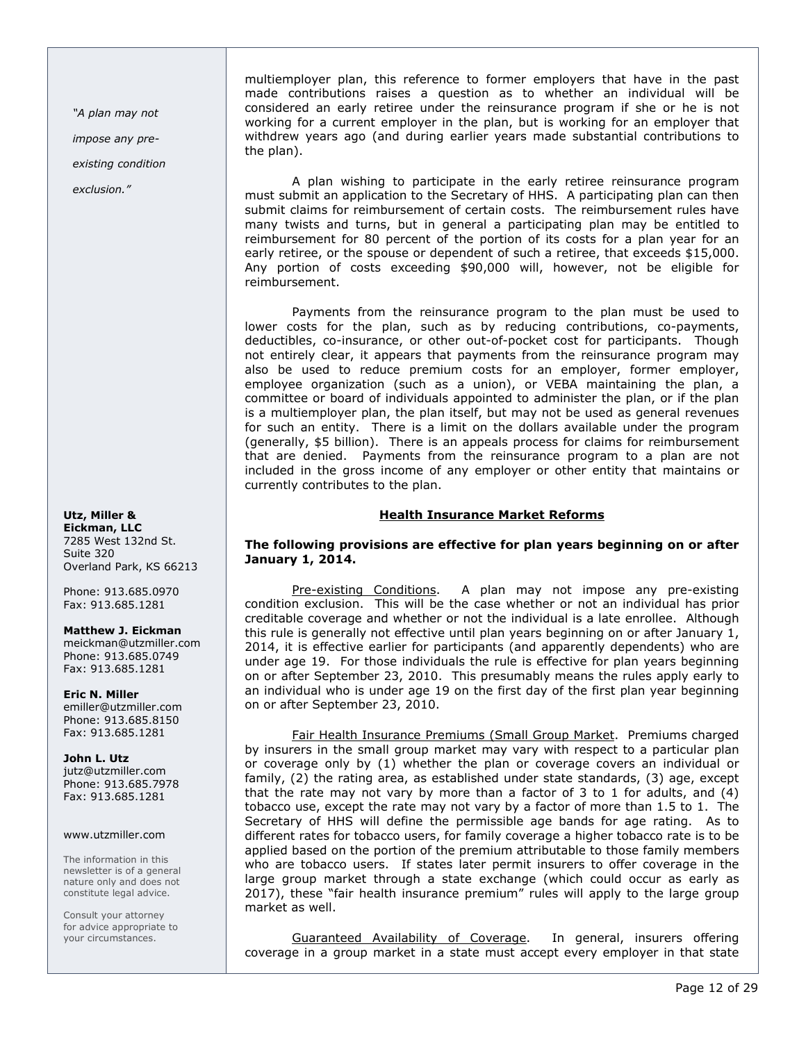"A plan may not impose any preexisting condition exclusion."

Utz, Miller & Eickman, LLC 7285 West 132nd St. Suite 320 Overland Park, KS 66213

Phone: 913.685.0970 Fax: 913.685.1281

### Matthew J. Eickman

meickman@utzmiller.com Phone: 913.685.0749 Fax: 913.685.1281

Eric N. Miller emiller@utzmiller.com Phone: 913.685.8150 Fax: 913.685.1281

John L. Utz jutz@utzmiller.com Phone: 913.685.7978 Fax: 913.685.1281

### www.utzmiller.com

The information in this newsletter is of a general nature only and does not constitute legal advice.

Consult your attorney for advice appropriate to your circumstances.

multiemployer plan, this reference to former employers that have in the past made contributions raises a question as to whether an individual will be considered an early retiree under the reinsurance program if she or he is not working for a current employer in the plan, but is working for an employer that withdrew years ago (and during earlier years made substantial contributions to the plan).

A plan wishing to participate in the early retiree reinsurance program must submit an application to the Secretary of HHS. A participating plan can then submit claims for reimbursement of certain costs. The reimbursement rules have many twists and turns, but in general a participating plan may be entitled to reimbursement for 80 percent of the portion of its costs for a plan year for an early retiree, or the spouse or dependent of such a retiree, that exceeds \$15,000. Any portion of costs exceeding \$90,000 will, however, not be eligible for reimbursement.

Payments from the reinsurance program to the plan must be used to lower costs for the plan, such as by reducing contributions, co-payments, deductibles, co-insurance, or other out-of-pocket cost for participants. Though not entirely clear, it appears that payments from the reinsurance program may also be used to reduce premium costs for an employer, former employer, employee organization (such as a union), or VEBA maintaining the plan, a committee or board of individuals appointed to administer the plan, or if the plan is a multiemployer plan, the plan itself, but may not be used as general revenues for such an entity. There is a limit on the dollars available under the program (generally, \$5 billion). There is an appeals process for claims for reimbursement that are denied. Payments from the reinsurance program to a plan are not included in the gross income of any employer or other entity that maintains or currently contributes to the plan.

# Health Insurance Market Reforms

# The following provisions are effective for plan years beginning on or after January 1, 2014.

Pre-existing Conditions. A plan may not impose any pre-existing condition exclusion. This will be the case whether or not an individual has prior creditable coverage and whether or not the individual is a late enrollee. Although this rule is generally not effective until plan years beginning on or after January 1, 2014, it is effective earlier for participants (and apparently dependents) who are under age 19. For those individuals the rule is effective for plan years beginning on or after September 23, 2010. This presumably means the rules apply early to an individual who is under age 19 on the first day of the first plan year beginning on or after September 23, 2010.

Fair Health Insurance Premiums (Small Group Market. Premiums charged by insurers in the small group market may vary with respect to a particular plan or coverage only by (1) whether the plan or coverage covers an individual or family, (2) the rating area, as established under state standards, (3) age, except that the rate may not vary by more than a factor of 3 to 1 for adults, and (4) tobacco use, except the rate may not vary by a factor of more than 1.5 to 1. The Secretary of HHS will define the permissible age bands for age rating. As to different rates for tobacco users, for family coverage a higher tobacco rate is to be applied based on the portion of the premium attributable to those family members who are tobacco users. If states later permit insurers to offer coverage in the large group market through a state exchange (which could occur as early as 2017), these "fair health insurance premium" rules will apply to the large group market as well.

Guaranteed Availability of Coverage. In general, insurers offering coverage in a group market in a state must accept every employer in that state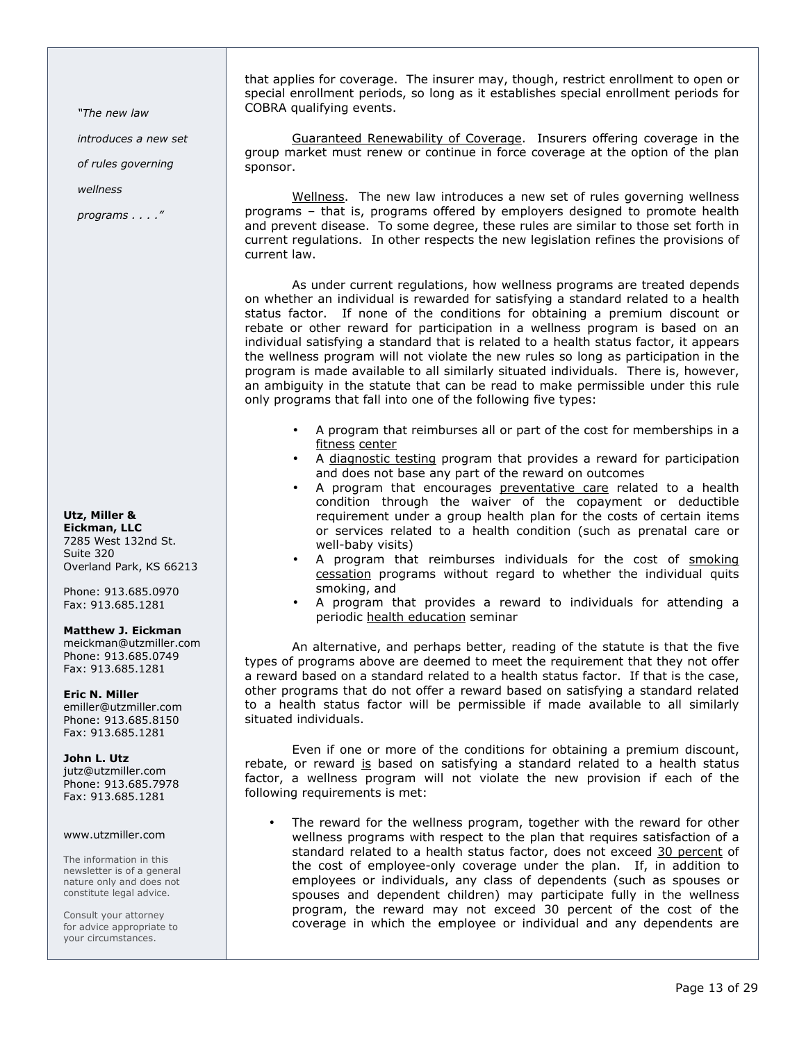"The new law

introduces a new set

of rules governing

wellness

programs . . . ."

Utz, Miller & Eickman, LLC

7285 West 132nd St. Suite 320 Overland Park, KS 66213

Phone: 913.685.0970 Fax: 913.685.1281

### Matthew J. Eickman

meickman@utzmiller.com Phone: 913.685.0749 Fax: 913.685.1281

Eric N. Miller

emiller@utzmiller.com Phone: 913.685.8150 Fax: 913.685.1281

### John L. Utz

jutz@utzmiller.com Phone: 913.685.7978 Fax: 913.685.1281

### www.utzmiller.com

The information in this newsletter is of a general nature only and does not constitute legal advice.

Consult your attorney for advice appropriate to your circumstances.

that applies for coverage. The insurer may, though, restrict enrollment to open or special enrollment periods, so long as it establishes special enrollment periods for COBRA qualifying events.

Guaranteed Renewability of Coverage. Insurers offering coverage in the group market must renew or continue in force coverage at the option of the plan sponsor.

Wellness. The new law introduces a new set of rules governing wellness programs – that is, programs offered by employers designed to promote health and prevent disease. To some degree, these rules are similar to those set forth in current regulations. In other respects the new legislation refines the provisions of current law.

As under current regulations, how wellness programs are treated depends on whether an individual is rewarded for satisfying a standard related to a health status factor. If none of the conditions for obtaining a premium discount or rebate or other reward for participation in a wellness program is based on an individual satisfying a standard that is related to a health status factor, it appears the wellness program will not violate the new rules so long as participation in the program is made available to all similarly situated individuals. There is, however, an ambiguity in the statute that can be read to make permissible under this rule only programs that fall into one of the following five types:

- A program that reimburses all or part of the cost for memberships in a fitness center
- A diagnostic testing program that provides a reward for participation and does not base any part of the reward on outcomes
- A program that encourages preventative care related to a health condition through the waiver of the copayment or deductible requirement under a group health plan for the costs of certain items or services related to a health condition (such as prenatal care or well-baby visits)
- A program that reimburses individuals for the cost of smoking cessation programs without regard to whether the individual quits smoking, and
- A program that provides a reward to individuals for attending a periodic health education seminar

An alternative, and perhaps better, reading of the statute is that the five types of programs above are deemed to meet the requirement that they not offer a reward based on a standard related to a health status factor. If that is the case, other programs that do not offer a reward based on satisfying a standard related to a health status factor will be permissible if made available to all similarly situated individuals.

Even if one or more of the conditions for obtaining a premium discount, rebate, or reward is based on satisfying a standard related to a health status factor, a wellness program will not violate the new provision if each of the following requirements is met:

The reward for the wellness program, together with the reward for other wellness programs with respect to the plan that requires satisfaction of a standard related to a health status factor, does not exceed 30 percent of the cost of employee-only coverage under the plan. If, in addition to employees or individuals, any class of dependents (such as spouses or spouses and dependent children) may participate fully in the wellness program, the reward may not exceed 30 percent of the cost of the coverage in which the employee or individual and any dependents are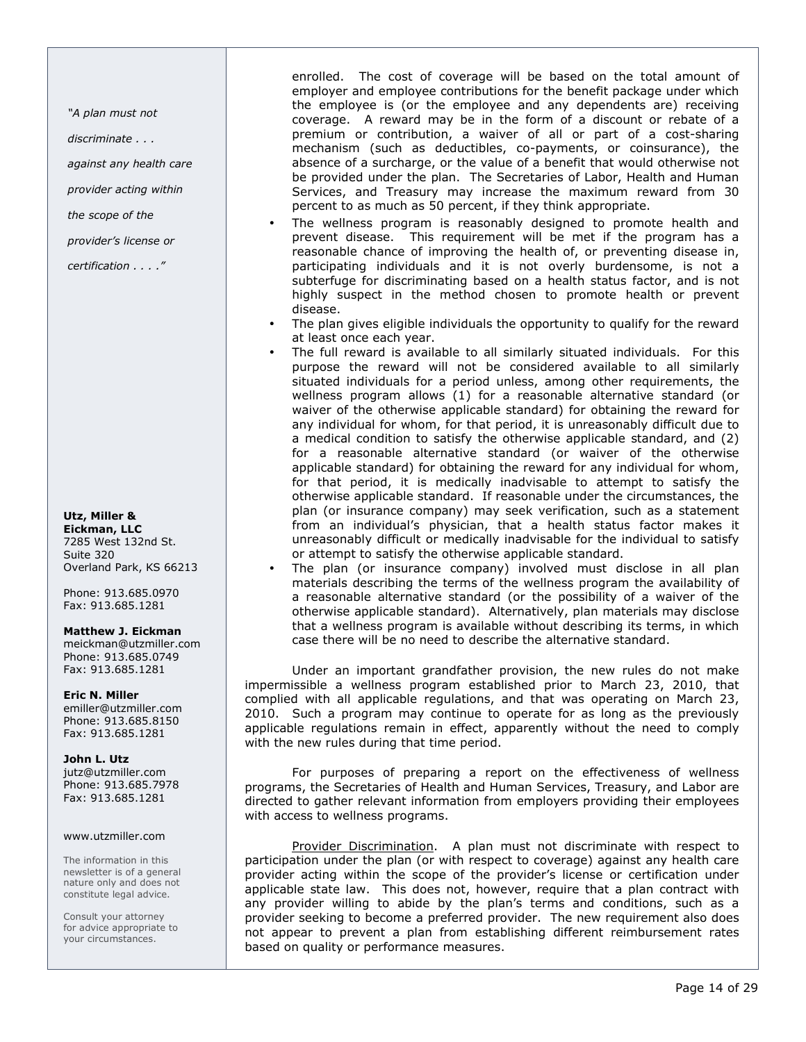"A plan must not

discriminate . . .

against any health care

provider acting within

the scope of the

provider's license or

certification . . . ."

#### Utz, Miller & Eickman, LLC 7285 West 132nd St. Suite 320

Overland Park, KS 66213 Phone: 913.685.0970

Fax: 913.685.1281

### Matthew J. Eickman

meickman@utzmiller.com Phone: 913.685.0749 Fax: 913.685.1281

Eric N. Miller emiller@utzmiller.com

Phone: 913.685.8150 Fax: 913.685.1281

### John L. Utz

jutz@utzmiller.com Phone: 913.685.7978 Fax: 913.685.1281

### www.utzmiller.com

The information in this newsletter is of a general nature only and does not constitute legal advice.

Consult your attorney for advice appropriate to your circumstances.

enrolled. The cost of coverage will be based on the total amount of employer and employee contributions for the benefit package under which the employee is (or the employee and any dependents are) receiving coverage. A reward may be in the form of a discount or rebate of a premium or contribution, a waiver of all or part of a cost-sharing mechanism (such as deductibles, co-payments, or coinsurance), the absence of a surcharge, or the value of a benefit that would otherwise not be provided under the plan. The Secretaries of Labor, Health and Human Services, and Treasury may increase the maximum reward from 30 percent to as much as 50 percent, if they think appropriate.

- The wellness program is reasonably designed to promote health and prevent disease. This requirement will be met if the program has a reasonable chance of improving the health of, or preventing disease in, participating individuals and it is not overly burdensome, is not a subterfuge for discriminating based on a health status factor, and is not highly suspect in the method chosen to promote health or prevent disease.
- The plan gives eligible individuals the opportunity to qualify for the reward at least once each year.
- The full reward is available to all similarly situated individuals. For this purpose the reward will not be considered available to all similarly situated individuals for a period unless, among other requirements, the wellness program allows (1) for a reasonable alternative standard (or waiver of the otherwise applicable standard) for obtaining the reward for any individual for whom, for that period, it is unreasonably difficult due to a medical condition to satisfy the otherwise applicable standard, and (2) for a reasonable alternative standard (or waiver of the otherwise applicable standard) for obtaining the reward for any individual for whom, for that period, it is medically inadvisable to attempt to satisfy the otherwise applicable standard. If reasonable under the circumstances, the plan (or insurance company) may seek verification, such as a statement from an individual's physician, that a health status factor makes it unreasonably difficult or medically inadvisable for the individual to satisfy or attempt to satisfy the otherwise applicable standard.
- The plan (or insurance company) involved must disclose in all plan materials describing the terms of the wellness program the availability of a reasonable alternative standard (or the possibility of a waiver of the otherwise applicable standard). Alternatively, plan materials may disclose that a wellness program is available without describing its terms, in which case there will be no need to describe the alternative standard.

Under an important grandfather provision, the new rules do not make impermissible a wellness program established prior to March 23, 2010, that complied with all applicable regulations, and that was operating on March 23, 2010. Such a program may continue to operate for as long as the previously applicable regulations remain in effect, apparently without the need to comply with the new rules during that time period.

For purposes of preparing a report on the effectiveness of wellness programs, the Secretaries of Health and Human Services, Treasury, and Labor are directed to gather relevant information from employers providing their employees with access to wellness programs.

Provider Discrimination. A plan must not discriminate with respect to participation under the plan (or with respect to coverage) against any health care provider acting within the scope of the provider's license or certification under applicable state law. This does not, however, require that a plan contract with any provider willing to abide by the plan's terms and conditions, such as a provider seeking to become a preferred provider. The new requirement also does not appear to prevent a plan from establishing different reimbursement rates based on quality or performance measures.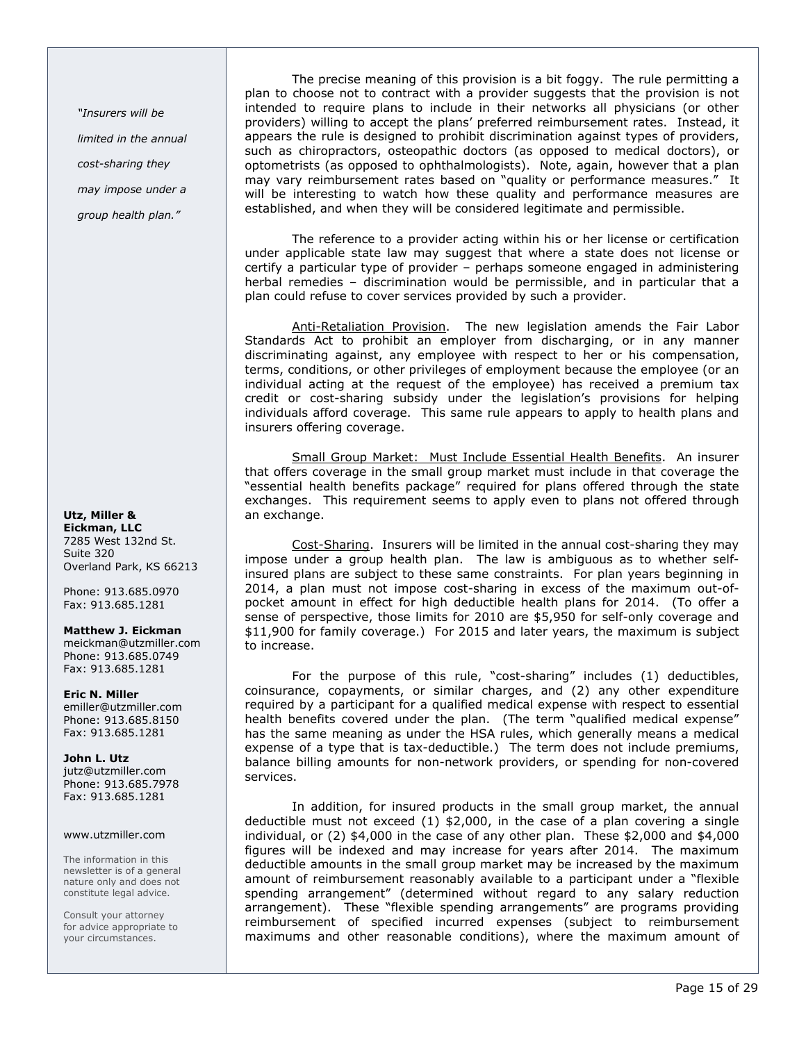"Insurers will be limited in the annual cost-sharing they may impose under a group health plan."

### Utz, Miller & Eickman, LLC 7285 West 132nd St. Suite 320 Overland Park, KS 66213

Phone: 913.685.0970 Fax: 913.685.1281

### Matthew J. Eickman

meickman@utzmiller.com Phone: 913.685.0749 Fax: 913.685.1281

Eric N. Miller emiller@utzmiller.com Phone: 913.685.8150 Fax: 913.685.1281

John L. Utz jutz@utzmiller.com Phone: 913.685.7978 Fax: 913.685.1281

### www.utzmiller.com

The information in this newsletter is of a general nature only and does not constitute legal advice.

Consult your attorney for advice appropriate to your circumstances.

The precise meaning of this provision is a bit foggy. The rule permitting a plan to choose not to contract with a provider suggests that the provision is not intended to require plans to include in their networks all physicians (or other providers) willing to accept the plans' preferred reimbursement rates. Instead, it appears the rule is designed to prohibit discrimination against types of providers, such as chiropractors, osteopathic doctors (as opposed to medical doctors), or optometrists (as opposed to ophthalmologists). Note, again, however that a plan may vary reimbursement rates based on "quality or performance measures." It will be interesting to watch how these quality and performance measures are established, and when they will be considered legitimate and permissible.

The reference to a provider acting within his or her license or certification under applicable state law may suggest that where a state does not license or certify a particular type of provider – perhaps someone engaged in administering herbal remedies – discrimination would be permissible, and in particular that a plan could refuse to cover services provided by such a provider.

Anti-Retaliation Provision. The new legislation amends the Fair Labor Standards Act to prohibit an employer from discharging, or in any manner discriminating against, any employee with respect to her or his compensation, terms, conditions, or other privileges of employment because the employee (or an individual acting at the request of the employee) has received a premium tax credit or cost-sharing subsidy under the legislation's provisions for helping individuals afford coverage. This same rule appears to apply to health plans and insurers offering coverage.

Small Group Market: Must Include Essential Health Benefits. An insurer that offers coverage in the small group market must include in that coverage the "essential health benefits package" required for plans offered through the state exchanges. This requirement seems to apply even to plans not offered through an exchange.

Cost-Sharing. Insurers will be limited in the annual cost-sharing they may impose under a group health plan. The law is ambiguous as to whether selfinsured plans are subject to these same constraints. For plan years beginning in 2014, a plan must not impose cost-sharing in excess of the maximum out-ofpocket amount in effect for high deductible health plans for 2014. (To offer a sense of perspective, those limits for 2010 are \$5,950 for self-only coverage and \$11,900 for family coverage.) For 2015 and later years, the maximum is subject to increase.

For the purpose of this rule, "cost-sharing" includes (1) deductibles, coinsurance, copayments, or similar charges, and (2) any other expenditure required by a participant for a qualified medical expense with respect to essential health benefits covered under the plan. (The term "qualified medical expense" has the same meaning as under the HSA rules, which generally means a medical expense of a type that is tax-deductible.) The term does not include premiums, balance billing amounts for non-network providers, or spending for non-covered services.

In addition, for insured products in the small group market, the annual deductible must not exceed  $(1)$  \$2,000, in the case of a plan covering a single individual, or (2) \$4,000 in the case of any other plan. These \$2,000 and \$4,000 figures will be indexed and may increase for years after 2014. The maximum deductible amounts in the small group market may be increased by the maximum amount of reimbursement reasonably available to a participant under a "flexible spending arrangement" (determined without regard to any salary reduction arrangement). These "flexible spending arrangements" are programs providing reimbursement of specified incurred expenses (subject to reimbursement maximums and other reasonable conditions), where the maximum amount of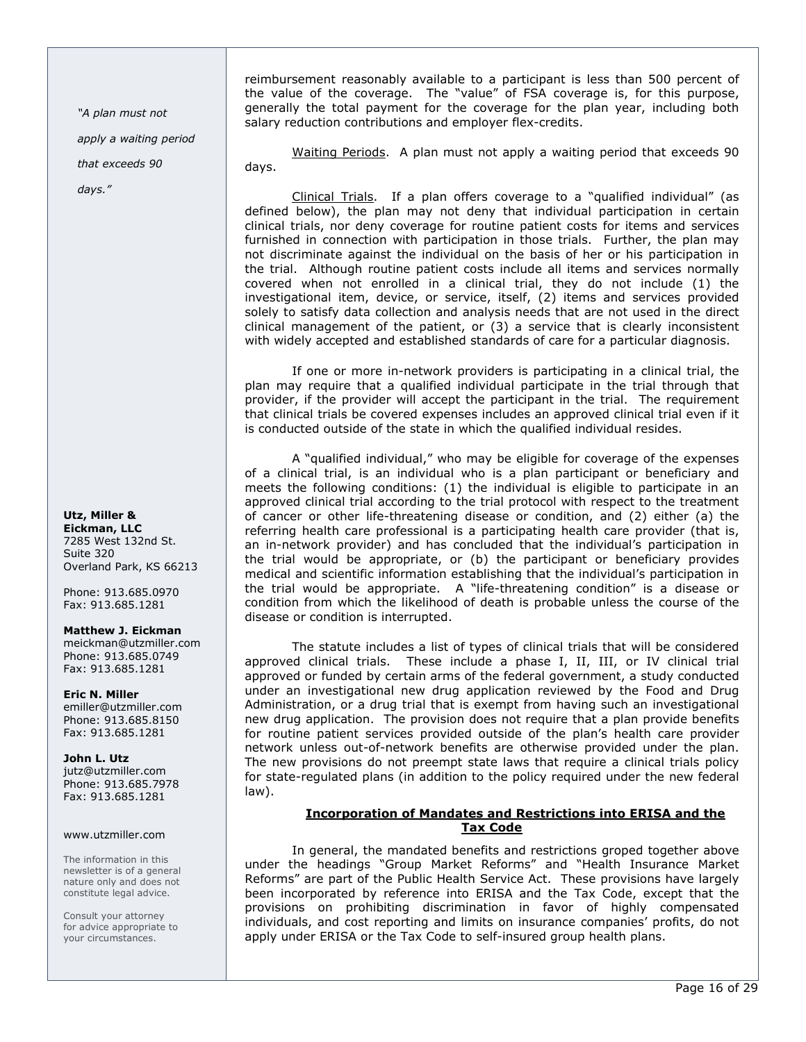"A plan must not

apply a waiting period

that exceeds 90

days."

### Utz, Miller & Eickman, LLC 7285 West 132nd St.

Suite 320 Overland Park, KS 66213

Phone: 913.685.0970 Fax: 913.685.1281

# Matthew J. Eickman

meickman@utzmiller.com Phone: 913.685.0749 Fax: 913.685.1281

Eric N. Miller emiller@utzmiller.com Phone: 913.685.8150 Fax: 913.685.1281

# John L. Utz jutz@utzmiller.com

Phone: 913.685.7978 Fax: 913.685.1281

# www.utzmiller.com

The information in this newsletter is of a general nature only and does not constitute legal advice.

Consult your attorney for advice appropriate to your circumstances.

reimbursement reasonably available to a participant is less than 500 percent of the value of the coverage. The "value" of FSA coverage is, for this purpose, generally the total payment for the coverage for the plan year, including both salary reduction contributions and employer flex-credits.

Waiting Periods. A plan must not apply a waiting period that exceeds 90 days.

Clinical Trials. If a plan offers coverage to a "qualified individual" (as defined below), the plan may not deny that individual participation in certain clinical trials, nor deny coverage for routine patient costs for items and services furnished in connection with participation in those trials. Further, the plan may not discriminate against the individual on the basis of her or his participation in the trial. Although routine patient costs include all items and services normally covered when not enrolled in a clinical trial, they do not include (1) the investigational item, device, or service, itself, (2) items and services provided solely to satisfy data collection and analysis needs that are not used in the direct clinical management of the patient, or (3) a service that is clearly inconsistent with widely accepted and established standards of care for a particular diagnosis.

If one or more in-network providers is participating in a clinical trial, the plan may require that a qualified individual participate in the trial through that provider, if the provider will accept the participant in the trial. The requirement that clinical trials be covered expenses includes an approved clinical trial even if it is conducted outside of the state in which the qualified individual resides.

A "qualified individual," who may be eligible for coverage of the expenses of a clinical trial, is an individual who is a plan participant or beneficiary and meets the following conditions: (1) the individual is eligible to participate in an approved clinical trial according to the trial protocol with respect to the treatment of cancer or other life-threatening disease or condition, and (2) either (a) the referring health care professional is a participating health care provider (that is, an in-network provider) and has concluded that the individual's participation in the trial would be appropriate, or (b) the participant or beneficiary provides medical and scientific information establishing that the individual's participation in the trial would be appropriate. A "life-threatening condition" is a disease or condition from which the likelihood of death is probable unless the course of the disease or condition is interrupted.

The statute includes a list of types of clinical trials that will be considered approved clinical trials. These include a phase I, II, III, or IV clinical trial approved or funded by certain arms of the federal government, a study conducted under an investigational new drug application reviewed by the Food and Drug Administration, or a drug trial that is exempt from having such an investigational new drug application. The provision does not require that a plan provide benefits for routine patient services provided outside of the plan's health care provider network unless out-of-network benefits are otherwise provided under the plan. The new provisions do not preempt state laws that require a clinical trials policy for state-regulated plans (in addition to the policy required under the new federal law).

# Incorporation of Mandates and Restrictions into ERISA and the Tax Code

In general, the mandated benefits and restrictions groped together above under the headings "Group Market Reforms" and "Health Insurance Market Reforms" are part of the Public Health Service Act. These provisions have largely been incorporated by reference into ERISA and the Tax Code, except that the provisions on prohibiting discrimination in favor of highly compensated individuals, and cost reporting and limits on insurance companies' profits, do not apply under ERISA or the Tax Code to self-insured group health plans.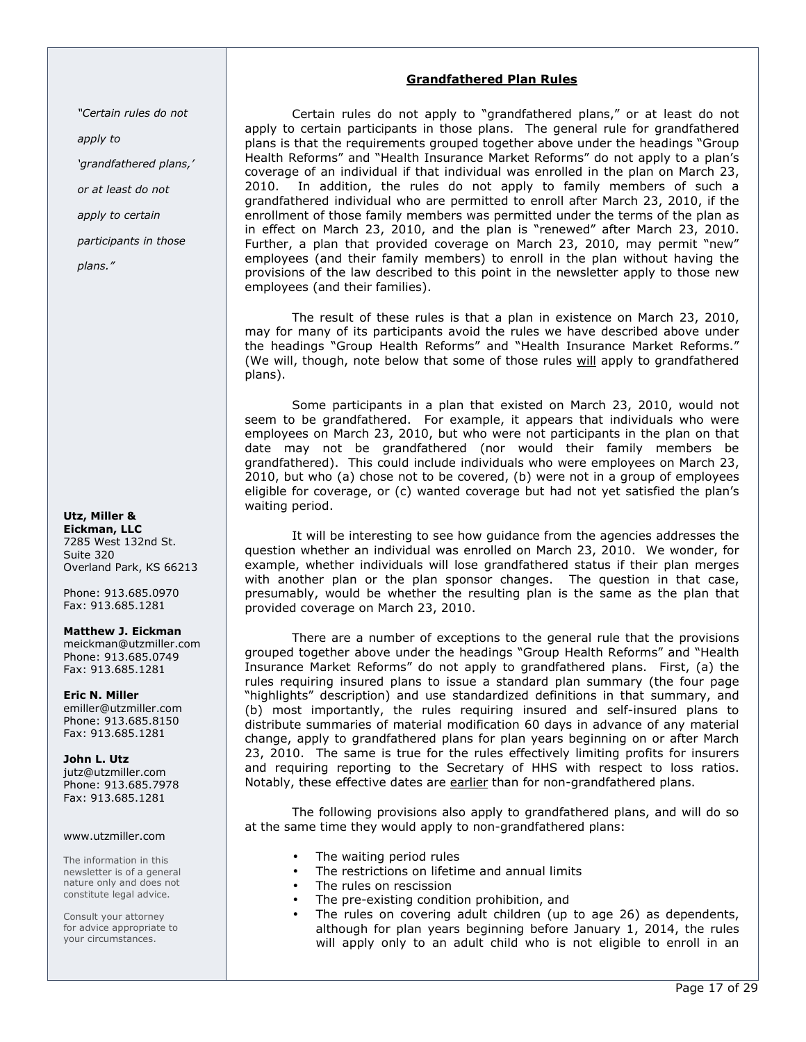# Grandfathered Plan Rules

"Certain rules do not

apply to

'grandfathered plans,'

or at least do not

apply to certain

participants in those

plans."

# Utz, Miller & Eickman, LLC

7285 West 132nd St. Suite 320 Overland Park, KS 66213

Phone: 913.685.0970 Fax: 913.685.1281

### Matthew J. Eickman

meickman@utzmiller.com Phone: 913.685.0749 Fax: 913.685.1281

Eric N. Miller emiller@utzmiller.com Phone: 913.685.8150 Fax: 913.685.1281

John L. Utz jutz@utzmiller.com Phone: 913.685.7978 Fax: 913.685.1281

### www.utzmiller.com

The information in this newsletter is of a general nature only and does not constitute legal advice.

Consult your attorney for advice appropriate to your circumstances.

Certain rules do not apply to "grandfathered plans," or at least do not apply to certain participants in those plans. The general rule for grandfathered plans is that the requirements grouped together above under the headings "Group Health Reforms" and "Health Insurance Market Reforms" do not apply to a plan's coverage of an individual if that individual was enrolled in the plan on March 23, 2010. In addition, the rules do not apply to family members of such a grandfathered individual who are permitted to enroll after March 23, 2010, if the enrollment of those family members was permitted under the terms of the plan as in effect on March 23, 2010, and the plan is "renewed" after March 23, 2010. Further, a plan that provided coverage on March 23, 2010, may permit "new" employees (and their family members) to enroll in the plan without having the provisions of the law described to this point in the newsletter apply to those new employees (and their families).

The result of these rules is that a plan in existence on March 23, 2010, may for many of its participants avoid the rules we have described above under the headings "Group Health Reforms" and "Health Insurance Market Reforms." (We will, though, note below that some of those rules will apply to grandfathered plans).

Some participants in a plan that existed on March 23, 2010, would not seem to be grandfathered. For example, it appears that individuals who were employees on March 23, 2010, but who were not participants in the plan on that date may not be grandfathered (nor would their family members be grandfathered). This could include individuals who were employees on March 23, 2010, but who (a) chose not to be covered, (b) were not in a group of employees eligible for coverage, or (c) wanted coverage but had not yet satisfied the plan's waiting period.

It will be interesting to see how guidance from the agencies addresses the question whether an individual was enrolled on March 23, 2010. We wonder, for example, whether individuals will lose grandfathered status if their plan merges with another plan or the plan sponsor changes. The question in that case, presumably, would be whether the resulting plan is the same as the plan that provided coverage on March 23, 2010.

There are a number of exceptions to the general rule that the provisions grouped together above under the headings "Group Health Reforms" and "Health Insurance Market Reforms" do not apply to grandfathered plans. First, (a) the rules requiring insured plans to issue a standard plan summary (the four page "highlights" description) and use standardized definitions in that summary, and (b) most importantly, the rules requiring insured and self-insured plans to distribute summaries of material modification 60 days in advance of any material change, apply to grandfathered plans for plan years beginning on or after March 23, 2010. The same is true for the rules effectively limiting profits for insurers and requiring reporting to the Secretary of HHS with respect to loss ratios. Notably, these effective dates are earlier than for non-grandfathered plans.

The following provisions also apply to grandfathered plans, and will do so at the same time they would apply to non-grandfathered plans:

- The waiting period rules
- The restrictions on lifetime and annual limits
- The rules on rescission
- The pre-existing condition prohibition, and
- The rules on covering adult children (up to age 26) as dependents, although for plan years beginning before January 1, 2014, the rules will apply only to an adult child who is not eligible to enroll in an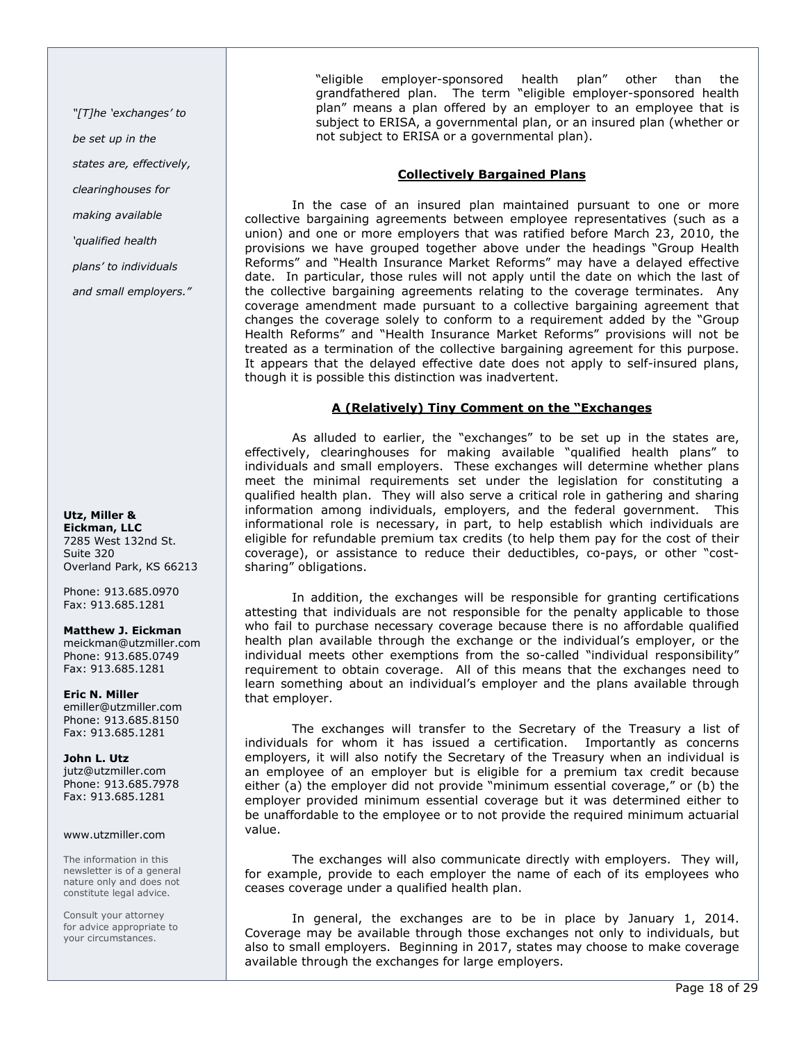"[T]he 'exchanges' to

be set up in the

states are, effectively,

clearinghouses for

making available

'qualified health

plans' to individuals

and small employers."

Utz, Miller & Eickman, LLC 7285 West 132nd St. Suite 320

Overland Park, KS 66213 Phone: 913.685.0970

Matthew J. Eickman

Fax: 913.685.1281

meickman@utzmiller.com Phone: 913.685.0749 Fax: 913.685.1281

Eric N. Miller emiller@utzmiller.com Phone: 913.685.8150 Fax: 913.685.1281

John L. Utz jutz@utzmiller.com Phone: 913.685.7978 Fax: 913.685.1281

### www.utzmiller.com

The information in this newsletter is of a general nature only and does not constitute legal advice.

Consult your attorney for advice appropriate to your circumstances.

"eligible employer-sponsored health plan" other than the grandfathered plan. The term "eligible employer-sponsored health plan" means a plan offered by an employer to an employee that is subject to ERISA, a governmental plan, or an insured plan (whether or not subject to ERISA or a governmental plan).

# Collectively Bargained Plans

In the case of an insured plan maintained pursuant to one or more collective bargaining agreements between employee representatives (such as a union) and one or more employers that was ratified before March 23, 2010, the provisions we have grouped together above under the headings "Group Health Reforms" and "Health Insurance Market Reforms" may have a delayed effective date. In particular, those rules will not apply until the date on which the last of the collective bargaining agreements relating to the coverage terminates. Any coverage amendment made pursuant to a collective bargaining agreement that changes the coverage solely to conform to a requirement added by the "Group Health Reforms" and "Health Insurance Market Reforms" provisions will not be treated as a termination of the collective bargaining agreement for this purpose. It appears that the delayed effective date does not apply to self-insured plans, though it is possible this distinction was inadvertent.

### A (Relatively) Tiny Comment on the "Exchanges

As alluded to earlier, the "exchanges" to be set up in the states are, effectively, clearinghouses for making available "qualified health plans" to individuals and small employers. These exchanges will determine whether plans meet the minimal requirements set under the legislation for constituting a qualified health plan. They will also serve a critical role in gathering and sharing information among individuals, employers, and the federal government. This informational role is necessary, in part, to help establish which individuals are eligible for refundable premium tax credits (to help them pay for the cost of their coverage), or assistance to reduce their deductibles, co-pays, or other "costsharing" obligations.

In addition, the exchanges will be responsible for granting certifications attesting that individuals are not responsible for the penalty applicable to those who fail to purchase necessary coverage because there is no affordable qualified health plan available through the exchange or the individual's employer, or the individual meets other exemptions from the so-called "individual responsibility" requirement to obtain coverage. All of this means that the exchanges need to learn something about an individual's employer and the plans available through that employer.

The exchanges will transfer to the Secretary of the Treasury a list of individuals for whom it has issued a certification. Importantly as concerns employers, it will also notify the Secretary of the Treasury when an individual is an employee of an employer but is eligible for a premium tax credit because either (a) the employer did not provide "minimum essential coverage," or (b) the employer provided minimum essential coverage but it was determined either to be unaffordable to the employee or to not provide the required minimum actuarial value.

The exchanges will also communicate directly with employers. They will, for example, provide to each employer the name of each of its employees who ceases coverage under a qualified health plan.

In general, the exchanges are to be in place by January 1, 2014. Coverage may be available through those exchanges not only to individuals, but also to small employers. Beginning in 2017, states may choose to make coverage available through the exchanges for large employers.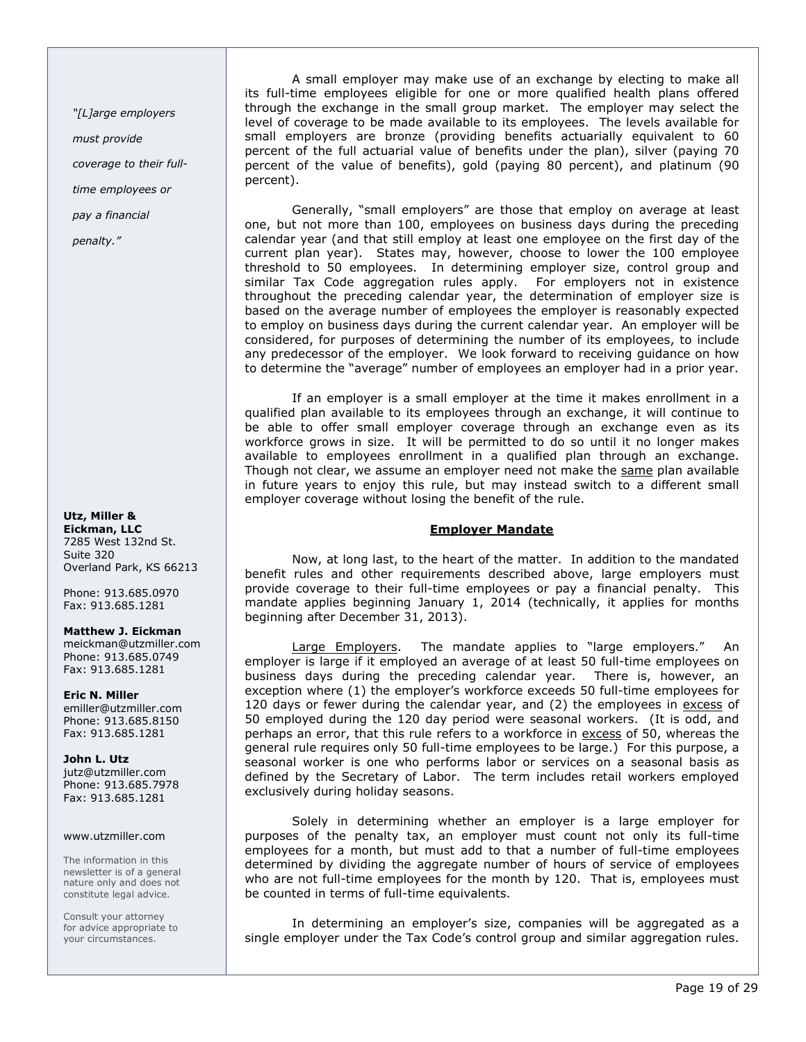"[L]arge employers

must provide

coverage to their full-

time employees or

pay a financial

penalty."

### Utz, Miller & Eickman, LLC 7285 West 132nd St. Suite 320 Overland Park, KS 66213

Phone: 913.685.0970 Fax: 913.685.1281

### Matthew J. Eickman

meickman@utzmiller.com Phone: 913.685.0749 Fax: 913.685.1281

Eric N. Miller emiller@utzmiller.com Phone: 913.685.8150 Fax: 913.685.1281

John L. Utz jutz@utzmiller.com Phone: 913.685.7978 Fax: 913.685.1281

### www.utzmiller.com

The information in this newsletter is of a general nature only and does not constitute legal advice.

Consult your attorney for advice appropriate to your circumstances.

A small employer may make use of an exchange by electing to make all its full-time employees eligible for one or more qualified health plans offered through the exchange in the small group market. The employer may select the level of coverage to be made available to its employees. The levels available for small employers are bronze (providing benefits actuarially equivalent to 60 percent of the full actuarial value of benefits under the plan), silver (paying 70 percent of the value of benefits), gold (paying 80 percent), and platinum (90 percent).

Generally, "small employers" are those that employ on average at least one, but not more than 100, employees on business days during the preceding calendar year (and that still employ at least one employee on the first day of the current plan year). States may, however, choose to lower the 100 employee threshold to 50 employees. In determining employer size, control group and similar Tax Code aggregation rules apply. For employers not in existence throughout the preceding calendar year, the determination of employer size is based on the average number of employees the employer is reasonably expected to employ on business days during the current calendar year. An employer will be considered, for purposes of determining the number of its employees, to include any predecessor of the employer. We look forward to receiving guidance on how to determine the "average" number of employees an employer had in a prior year.

If an employer is a small employer at the time it makes enrollment in a qualified plan available to its employees through an exchange, it will continue to be able to offer small employer coverage through an exchange even as its workforce grows in size. It will be permitted to do so until it no longer makes available to employees enrollment in a qualified plan through an exchange. Though not clear, we assume an employer need not make the same plan available in future years to enjoy this rule, but may instead switch to a different small employer coverage without losing the benefit of the rule.

# Employer Mandate

Now, at long last, to the heart of the matter. In addition to the mandated benefit rules and other requirements described above, large employers must provide coverage to their full-time employees or pay a financial penalty. This mandate applies beginning January 1, 2014 (technically, it applies for months beginning after December 31, 2013).

Large Employers. The mandate applies to "large employers." An employer is large if it employed an average of at least 50 full-time employees on business days during the preceding calendar year. There is, however, an exception where (1) the employer's workforce exceeds 50 full-time employees for 120 days or fewer during the calendar year, and (2) the employees in excess of 50 employed during the 120 day period were seasonal workers. (It is odd, and perhaps an error, that this rule refers to a workforce in excess of 50, whereas the general rule requires only 50 full-time employees to be large.) For this purpose, a seasonal worker is one who performs labor or services on a seasonal basis as defined by the Secretary of Labor. The term includes retail workers employed exclusively during holiday seasons.

Solely in determining whether an employer is a large employer for purposes of the penalty tax, an employer must count not only its full-time employees for a month, but must add to that a number of full-time employees determined by dividing the aggregate number of hours of service of employees who are not full-time employees for the month by 120. That is, employees must be counted in terms of full-time equivalents.

In determining an employer's size, companies will be aggregated as a single employer under the Tax Code's control group and similar aggregation rules.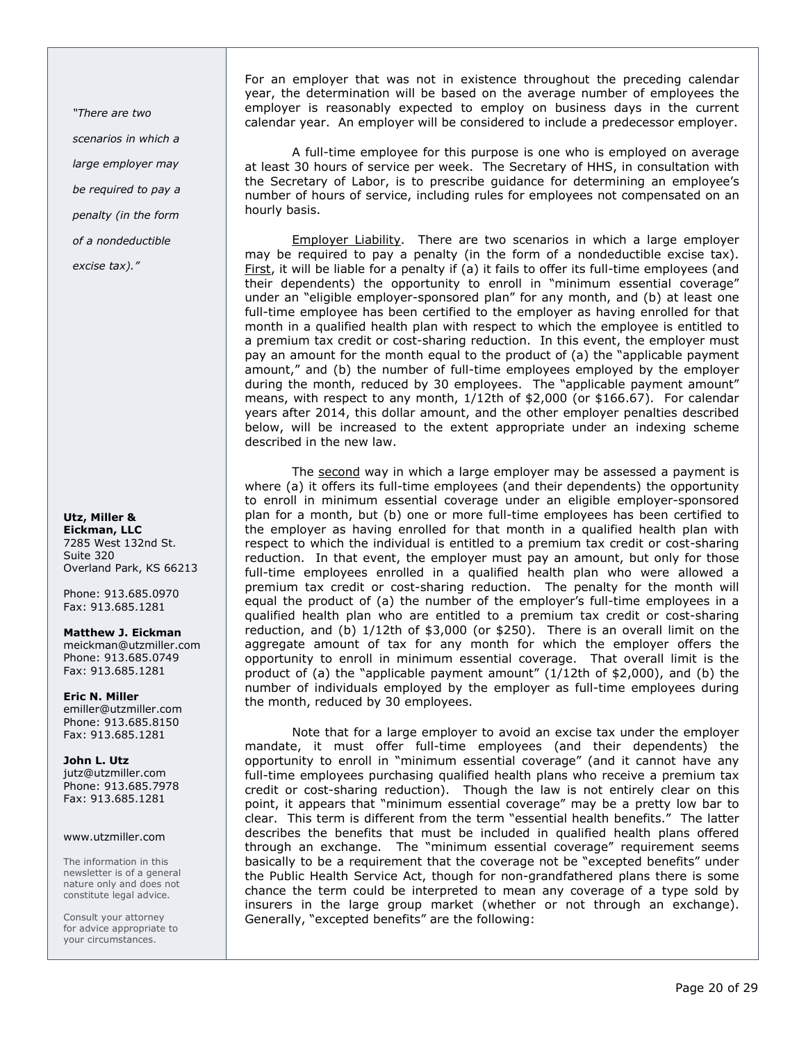"There are two scenarios in which a large employer may be required to pay a penalty (in the form of a nondeductible

excise tax)."

Utz, Miller & Eickman, LLC 7285 West 132nd St. Suite 320 Overland Park, KS 66213

Phone: 913.685.0970 Fax: 913.685.1281

Matthew J. Eickman

meickman@utzmiller.com Phone: 913.685.0749 Fax: 913.685.1281

Eric N. Miller emiller@utzmiller.com Phone: 913.685.8150 Fax: 913.685.1281

John L. Utz jutz@utzmiller.com Phone: 913.685.7978 Fax: 913.685.1281

### www.utzmiller.com

The information in this newsletter is of a general nature only and does not constitute legal advice.

Consult your attorney for advice appropriate to your circumstances.

For an employer that was not in existence throughout the preceding calendar year, the determination will be based on the average number of employees the employer is reasonably expected to employ on business days in the current calendar year. An employer will be considered to include a predecessor employer.

A full-time employee for this purpose is one who is employed on average at least 30 hours of service per week. The Secretary of HHS, in consultation with the Secretary of Labor, is to prescribe guidance for determining an employee's number of hours of service, including rules for employees not compensated on an hourly basis.

Employer Liability. There are two scenarios in which a large employer may be required to pay a penalty (in the form of a nondeductible excise tax). First, it will be liable for a penalty if (a) it fails to offer its full-time employees (and their dependents) the opportunity to enroll in "minimum essential coverage" under an "eligible employer-sponsored plan" for any month, and (b) at least one full-time employee has been certified to the employer as having enrolled for that month in a qualified health plan with respect to which the employee is entitled to a premium tax credit or cost-sharing reduction. In this event, the employer must pay an amount for the month equal to the product of (a) the "applicable payment amount," and (b) the number of full-time employees employed by the employer during the month, reduced by 30 employees. The "applicable payment amount" means, with respect to any month, 1/12th of \$2,000 (or \$166.67). For calendar years after 2014, this dollar amount, and the other employer penalties described below, will be increased to the extent appropriate under an indexing scheme described in the new law.

The second way in which a large employer may be assessed a payment is where (a) it offers its full-time employees (and their dependents) the opportunity to enroll in minimum essential coverage under an eligible employer-sponsored plan for a month, but (b) one or more full-time employees has been certified to the employer as having enrolled for that month in a qualified health plan with respect to which the individual is entitled to a premium tax credit or cost-sharing reduction. In that event, the employer must pay an amount, but only for those full-time employees enrolled in a qualified health plan who were allowed a premium tax credit or cost-sharing reduction. The penalty for the month will equal the product of (a) the number of the employer's full-time employees in a qualified health plan who are entitled to a premium tax credit or cost-sharing reduction, and (b) 1/12th of \$3,000 (or \$250). There is an overall limit on the aggregate amount of tax for any month for which the employer offers the opportunity to enroll in minimum essential coverage. That overall limit is the product of (a) the "applicable payment amount" (1/12th of \$2,000), and (b) the number of individuals employed by the employer as full-time employees during the month, reduced by 30 employees.

Note that for a large employer to avoid an excise tax under the employer mandate, it must offer full-time employees (and their dependents) the opportunity to enroll in "minimum essential coverage" (and it cannot have any full-time employees purchasing qualified health plans who receive a premium tax credit or cost-sharing reduction). Though the law is not entirely clear on this point, it appears that "minimum essential coverage" may be a pretty low bar to clear. This term is different from the term "essential health benefits." The latter describes the benefits that must be included in qualified health plans offered through an exchange. The "minimum essential coverage" requirement seems basically to be a requirement that the coverage not be "excepted benefits" under the Public Health Service Act, though for non-grandfathered plans there is some chance the term could be interpreted to mean any coverage of a type sold by insurers in the large group market (whether or not through an exchange). Generally, "excepted benefits" are the following: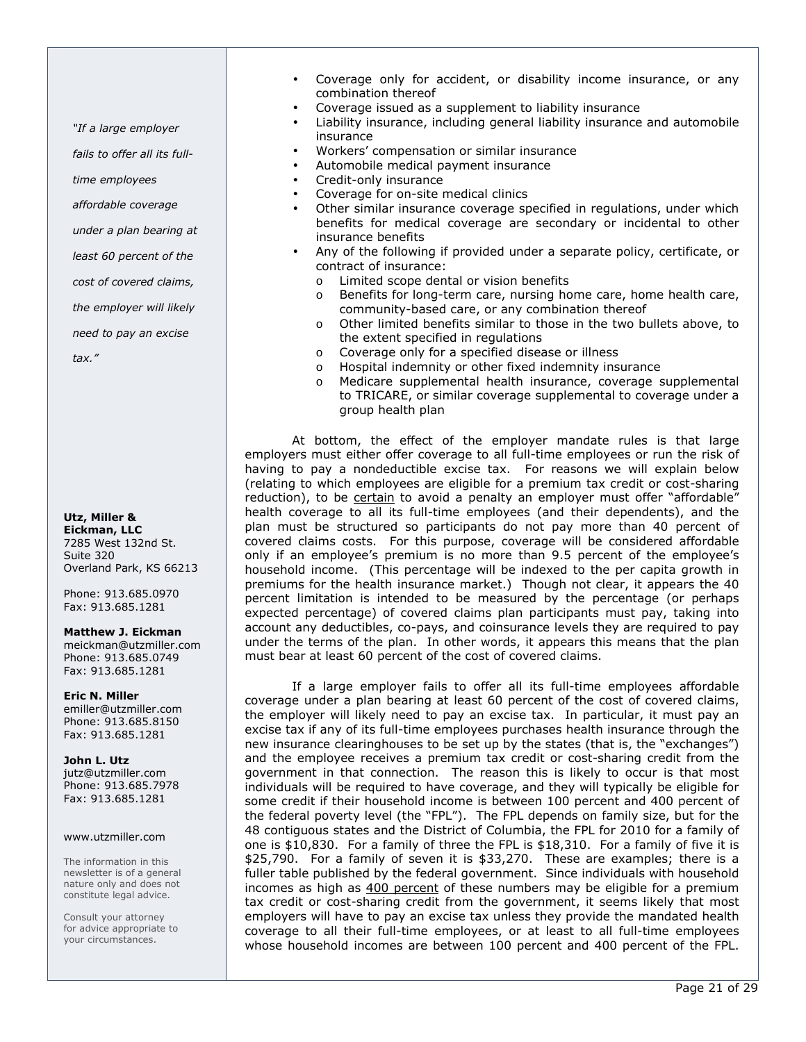"If a large employer

fails to offer all its full-

time employees

affordable coverage

under a plan bearing at

least 60 percent of the

cost of covered claims,

the employer will likely

need to pay an excise

tax."

Utz, Miller & Eickman, LLC 7285 West 132nd St. Suite 320 Overland Park, KS 66213

Phone: 913.685.0970 Fax: 913.685.1281

Matthew J. Eickman

meickman@utzmiller.com Phone: 913.685.0749 Fax: 913.685.1281

Eric N. Miller emiller@utzmiller.com Phone: 913.685.8150 Fax: 913.685.1281

John L. Utz jutz@utzmiller.com Phone: 913.685.7978 Fax: 913.685.1281

### www.utzmiller.com

The information in this newsletter is of a general nature only and does not constitute legal advice.

Consult your attorney for advice appropriate to your circumstances.

- Coverage only for accident, or disability income insurance, or any combination thereof
- Coverage issued as a supplement to liability insurance
- Liability insurance, including general liability insurance and automobile insurance
- Workers' compensation or similar insurance
- Automobile medical payment insurance
- Credit-only insurance
- Coverage for on-site medical clinics
- Other similar insurance coverage specified in regulations, under which benefits for medical coverage are secondary or incidental to other insurance benefits
- Any of the following if provided under a separate policy, certificate, or contract of insurance:
	- o Limited scope dental or vision benefits
	- o Benefits for long-term care, nursing home care, home health care, community-based care, or any combination thereof
	- o Other limited benefits similar to those in the two bullets above, to the extent specified in regulations
	- o Coverage only for a specified disease or illness
	- o Hospital indemnity or other fixed indemnity insurance
	- o Medicare supplemental health insurance, coverage supplemental to TRICARE, or similar coverage supplemental to coverage under a group health plan

At bottom, the effect of the employer mandate rules is that large employers must either offer coverage to all full-time employees or run the risk of having to pay a nondeductible excise tax. For reasons we will explain below (relating to which employees are eligible for a premium tax credit or cost-sharing reduction), to be certain to avoid a penalty an employer must offer "affordable" health coverage to all its full-time employees (and their dependents), and the plan must be structured so participants do not pay more than 40 percent of covered claims costs. For this purpose, coverage will be considered affordable only if an employee's premium is no more than 9.5 percent of the employee's household income. (This percentage will be indexed to the per capita growth in premiums for the health insurance market.) Though not clear, it appears the 40 percent limitation is intended to be measured by the percentage (or perhaps expected percentage) of covered claims plan participants must pay, taking into account any deductibles, co-pays, and coinsurance levels they are required to pay under the terms of the plan. In other words, it appears this means that the plan must bear at least 60 percent of the cost of covered claims.

If a large employer fails to offer all its full-time employees affordable coverage under a plan bearing at least 60 percent of the cost of covered claims, the employer will likely need to pay an excise tax. In particular, it must pay an excise tax if any of its full-time employees purchases health insurance through the new insurance clearinghouses to be set up by the states (that is, the "exchanges") and the employee receives a premium tax credit or cost-sharing credit from the government in that connection. The reason this is likely to occur is that most individuals will be required to have coverage, and they will typically be eligible for some credit if their household income is between 100 percent and 400 percent of the federal poverty level (the "FPL"). The FPL depends on family size, but for the 48 contiguous states and the District of Columbia, the FPL for 2010 for a family of one is \$10,830. For a family of three the FPL is \$18,310. For a family of five it is \$25,790. For a family of seven it is \$33,270. These are examples; there is a fuller table published by the federal government. Since individuals with household incomes as high as  $400$  percent of these numbers may be eligible for a premium tax credit or cost-sharing credit from the government, it seems likely that most employers will have to pay an excise tax unless they provide the mandated health coverage to all their full-time employees, or at least to all full-time employees whose household incomes are between 100 percent and 400 percent of the FPL.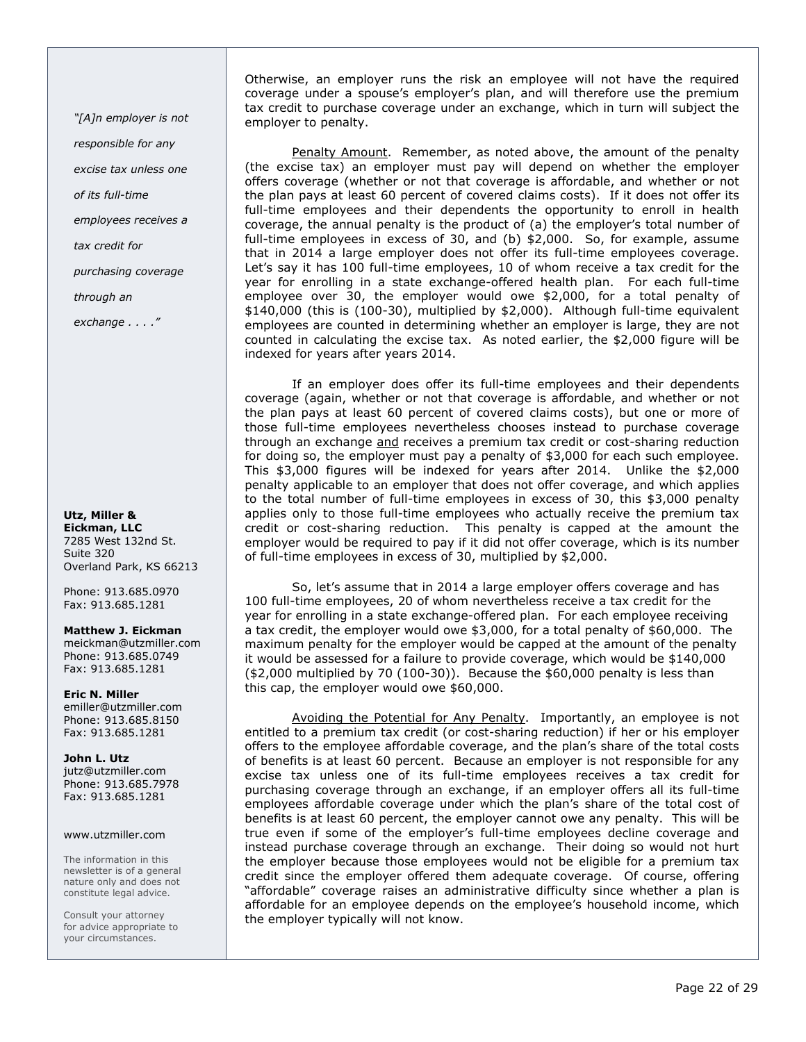"[A]n employer is not responsible for any

excise tax unless one

of its full-time

employees receives a

tax credit for

purchasing coverage

through an

exchange . . . ."

### Utz, Miller & Eickman, LLC 7285 West 132nd St. Suite 320 Overland Park, KS 66213

Phone: 913.685.0970 Fax: 913.685.1281

### Matthew J. Eickman

meickman@utzmiller.com Phone: 913.685.0749 Fax: 913.685.1281

Eric N. Miller emiller@utzmiller.com Phone: 913.685.8150 Fax: 913.685.1281

John L. Utz jutz@utzmiller.com Phone: 913.685.7978 Fax: 913.685.1281

### www.utzmiller.com

The information in this newsletter is of a general nature only and does not constitute legal advice.

Consult your attorney for advice appropriate to your circumstances.

Otherwise, an employer runs the risk an employee will not have the required coverage under a spouse's employer's plan, and will therefore use the premium tax credit to purchase coverage under an exchange, which in turn will subject the employer to penalty.

Penalty Amount. Remember, as noted above, the amount of the penalty (the excise tax) an employer must pay will depend on whether the employer offers coverage (whether or not that coverage is affordable, and whether or not the plan pays at least 60 percent of covered claims costs). If it does not offer its full-time employees and their dependents the opportunity to enroll in health coverage, the annual penalty is the product of (a) the employer's total number of full-time employees in excess of 30, and (b) \$2,000. So, for example, assume that in 2014 a large employer does not offer its full-time employees coverage. Let's say it has 100 full-time employees, 10 of whom receive a tax credit for the year for enrolling in a state exchange-offered health plan. For each full-time employee over 30, the employer would owe \$2,000, for a total penalty of \$140,000 (this is (100-30), multiplied by \$2,000). Although full-time equivalent employees are counted in determining whether an employer is large, they are not counted in calculating the excise tax. As noted earlier, the \$2,000 figure will be indexed for years after years 2014.

If an employer does offer its full-time employees and their dependents coverage (again, whether or not that coverage is affordable, and whether or not the plan pays at least 60 percent of covered claims costs), but one or more of those full-time employees nevertheless chooses instead to purchase coverage through an exchange and receives a premium tax credit or cost-sharing reduction for doing so, the employer must pay a penalty of \$3,000 for each such employee. This \$3,000 figures will be indexed for years after 2014. Unlike the \$2,000 penalty applicable to an employer that does not offer coverage, and which applies to the total number of full-time employees in excess of 30, this \$3,000 penalty applies only to those full-time employees who actually receive the premium tax credit or cost-sharing reduction. This penalty is capped at the amount the employer would be required to pay if it did not offer coverage, which is its number of full-time employees in excess of 30, multiplied by \$2,000.

So, let's assume that in 2014 a large employer offers coverage and has 100 full-time employees, 20 of whom nevertheless receive a tax credit for the year for enrolling in a state exchange-offered plan. For each employee receiving a tax credit, the employer would owe \$3,000, for a total penalty of \$60,000. The maximum penalty for the employer would be capped at the amount of the penalty it would be assessed for a failure to provide coverage, which would be \$140,000  $(*2,000$  multiplied by 70  $(100-30)$ ). Because the  $$60,000$  penalty is less than this cap, the employer would owe \$60,000.

Avoiding the Potential for Any Penalty. Importantly, an employee is not entitled to a premium tax credit (or cost-sharing reduction) if her or his employer offers to the employee affordable coverage, and the plan's share of the total costs of benefits is at least 60 percent. Because an employer is not responsible for any excise tax unless one of its full-time employees receives a tax credit for purchasing coverage through an exchange, if an employer offers all its full-time employees affordable coverage under which the plan's share of the total cost of benefits is at least 60 percent, the employer cannot owe any penalty. This will be true even if some of the employer's full-time employees decline coverage and instead purchase coverage through an exchange. Their doing so would not hurt the employer because those employees would not be eligible for a premium tax credit since the employer offered them adequate coverage. Of course, offering "affordable" coverage raises an administrative difficulty since whether a plan is affordable for an employee depends on the employee's household income, which the employer typically will not know.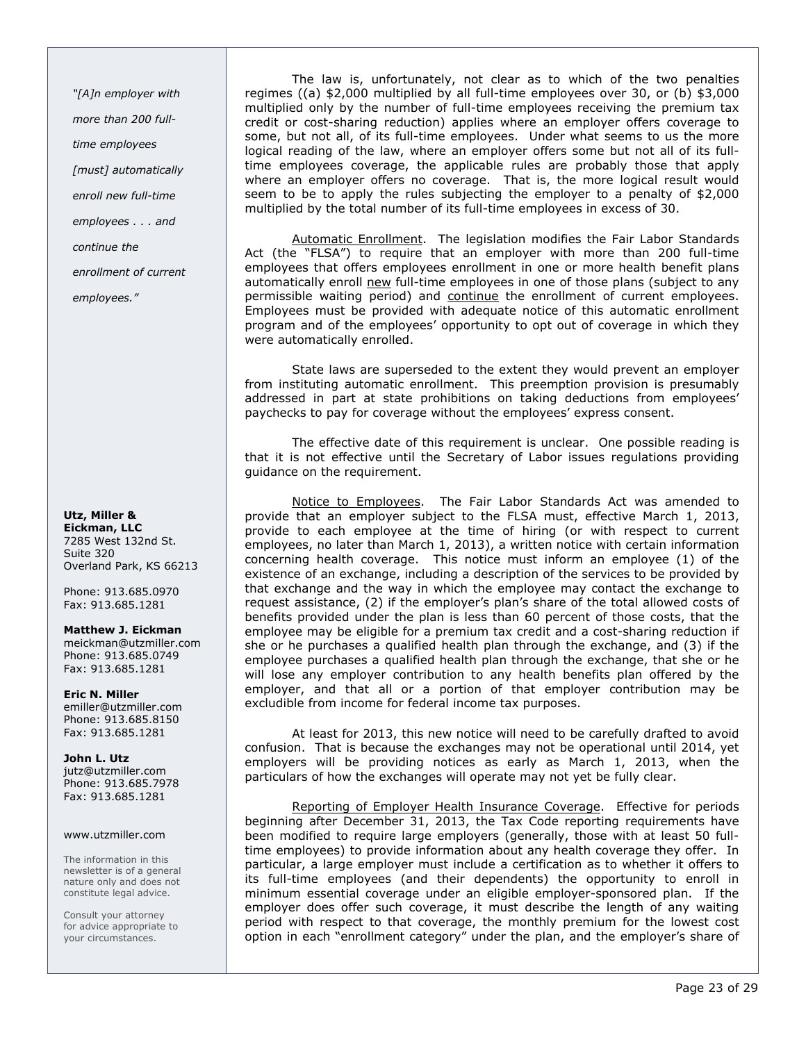"[A]n employer with more than 200 fulltime employees [must] automatically enroll new full-time employees . . . and continue the enrollment of current employees."

### Utz, Miller & Eickman, LLC 7285 West 132nd St. Suite 320 Overland Park, KS 66213

Phone: 913.685.0970 Fax: 913.685.1281

### Matthew J. Eickman

meickman@utzmiller.com Phone: 913.685.0749 Fax: 913.685.1281

Eric N. Miller emiller@utzmiller.com Phone: 913.685.8150 Fax: 913.685.1281

John L. Utz jutz@utzmiller.com Phone: 913.685.7978 Fax: 913.685.1281

### www.utzmiller.com

The information in this newsletter is of a general nature only and does not constitute legal advice.

Consult your attorney for advice appropriate to your circumstances.

The law is, unfortunately, not clear as to which of the two penalties regimes ((a) \$2,000 multiplied by all full-time employees over 30, or (b) \$3,000 multiplied only by the number of full-time employees receiving the premium tax credit or cost-sharing reduction) applies where an employer offers coverage to some, but not all, of its full-time employees. Under what seems to us the more logical reading of the law, where an employer offers some but not all of its fulltime employees coverage, the applicable rules are probably those that apply where an employer offers no coverage. That is, the more logical result would seem to be to apply the rules subjecting the employer to a penalty of \$2,000 multiplied by the total number of its full-time employees in excess of 30.

Automatic Enrollment. The legislation modifies the Fair Labor Standards Act (the "FLSA") to require that an employer with more than 200 full-time employees that offers employees enrollment in one or more health benefit plans automatically enroll new full-time employees in one of those plans (subject to any permissible waiting period) and continue the enrollment of current employees. Employees must be provided with adequate notice of this automatic enrollment program and of the employees' opportunity to opt out of coverage in which they were automatically enrolled.

State laws are superseded to the extent they would prevent an employer from instituting automatic enrollment. This preemption provision is presumably addressed in part at state prohibitions on taking deductions from employees' paychecks to pay for coverage without the employees' express consent.

The effective date of this requirement is unclear. One possible reading is that it is not effective until the Secretary of Labor issues regulations providing guidance on the requirement.

Notice to Employees. The Fair Labor Standards Act was amended to provide that an employer subject to the FLSA must, effective March 1, 2013, provide to each employee at the time of hiring (or with respect to current employees, no later than March 1, 2013), a written notice with certain information concerning health coverage. This notice must inform an employee (1) of the existence of an exchange, including a description of the services to be provided by that exchange and the way in which the employee may contact the exchange to request assistance, (2) if the employer's plan's share of the total allowed costs of benefits provided under the plan is less than 60 percent of those costs, that the employee may be eligible for a premium tax credit and a cost-sharing reduction if she or he purchases a qualified health plan through the exchange, and (3) if the employee purchases a qualified health plan through the exchange, that she or he will lose any employer contribution to any health benefits plan offered by the employer, and that all or a portion of that employer contribution may be excludible from income for federal income tax purposes.

At least for 2013, this new notice will need to be carefully drafted to avoid confusion. That is because the exchanges may not be operational until 2014, yet employers will be providing notices as early as March 1, 2013, when the particulars of how the exchanges will operate may not yet be fully clear.

Reporting of Employer Health Insurance Coverage. Effective for periods beginning after December 31, 2013, the Tax Code reporting requirements have been modified to require large employers (generally, those with at least 50 fulltime employees) to provide information about any health coverage they offer. In particular, a large employer must include a certification as to whether it offers to its full-time employees (and their dependents) the opportunity to enroll in minimum essential coverage under an eligible employer-sponsored plan. If the employer does offer such coverage, it must describe the length of any waiting period with respect to that coverage, the monthly premium for the lowest cost option in each "enrollment category" under the plan, and the employer's share of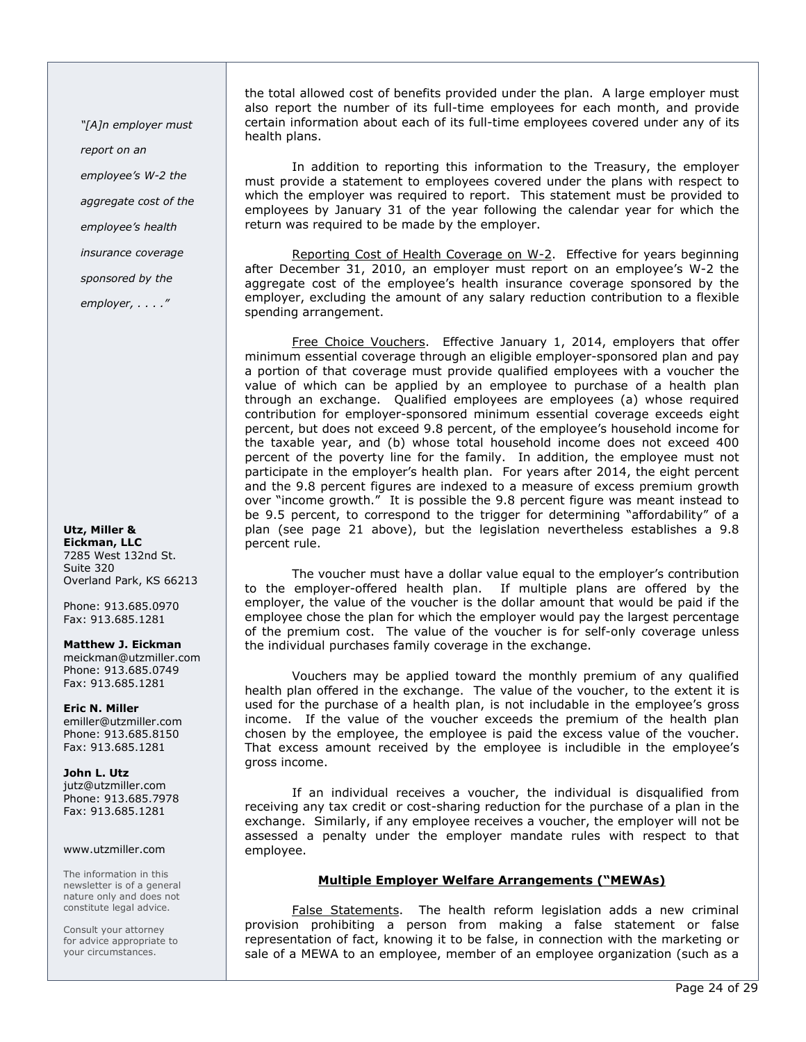"[A]n employer must

report on an

employee's W-2 the aggregate cost of the

employee's health

insurance coverage

sponsored by the

employer, . . . ."

Utz, Miller & Eickman, LLC 7285 West 132nd St. Suite 320 Overland Park, KS 66213

Phone: 913.685.0970 Fax: 913.685.1281

Matthew J. Eickman meickman@utzmiller.com Phone: 913.685.0749 Fax: 913.685.1281

Eric N. Miller emiller@utzmiller.com Phone: 913.685.8150 Fax: 913.685.1281

John L. Utz jutz@utzmiller.com Phone: 913.685.7978 Fax: 913.685.1281

### www.utzmiller.com

The information in this newsletter is of a general nature only and does not constitute legal advice.

Consult your attorney for advice appropriate to your circumstances.

the total allowed cost of benefits provided under the plan. A large employer must also report the number of its full-time employees for each month, and provide certain information about each of its full-time employees covered under any of its health plans.

In addition to reporting this information to the Treasury, the employer must provide a statement to employees covered under the plans with respect to which the employer was required to report. This statement must be provided to employees by January 31 of the year following the calendar year for which the return was required to be made by the employer.

Reporting Cost of Health Coverage on W-2. Effective for years beginning after December 31, 2010, an employer must report on an employee's W-2 the aggregate cost of the employee's health insurance coverage sponsored by the employer, excluding the amount of any salary reduction contribution to a flexible spending arrangement.

Free Choice Vouchers. Effective January 1, 2014, employers that offer minimum essential coverage through an eligible employer-sponsored plan and pay a portion of that coverage must provide qualified employees with a voucher the value of which can be applied by an employee to purchase of a health plan through an exchange. Qualified employees are employees (a) whose required contribution for employer-sponsored minimum essential coverage exceeds eight percent, but does not exceed 9.8 percent, of the employee's household income for the taxable year, and (b) whose total household income does not exceed 400 percent of the poverty line for the family. In addition, the employee must not participate in the employer's health plan. For years after 2014, the eight percent and the 9.8 percent figures are indexed to a measure of excess premium growth over "income growth." It is possible the 9.8 percent figure was meant instead to be 9.5 percent, to correspond to the trigger for determining "affordability" of a plan (see page 21 above), but the legislation nevertheless establishes a 9.8 percent rule.

The voucher must have a dollar value equal to the employer's contribution to the employer-offered health plan. If multiple plans are offered by the employer, the value of the voucher is the dollar amount that would be paid if the employee chose the plan for which the employer would pay the largest percentage of the premium cost. The value of the voucher is for self-only coverage unless the individual purchases family coverage in the exchange.

Vouchers may be applied toward the monthly premium of any qualified health plan offered in the exchange. The value of the voucher, to the extent it is used for the purchase of a health plan, is not includable in the employee's gross income. If the value of the voucher exceeds the premium of the health plan chosen by the employee, the employee is paid the excess value of the voucher. That excess amount received by the employee is includible in the employee's gross income.

If an individual receives a voucher, the individual is disqualified from receiving any tax credit or cost-sharing reduction for the purchase of a plan in the exchange. Similarly, if any employee receives a voucher, the employer will not be assessed a penalty under the employer mandate rules with respect to that employee.

# Multiple Employer Welfare Arrangements ("MEWAs)

False Statements. The health reform legislation adds a new criminal provision prohibiting a person from making a false statement or false representation of fact, knowing it to be false, in connection with the marketing or sale of a MEWA to an employee, member of an employee organization (such as a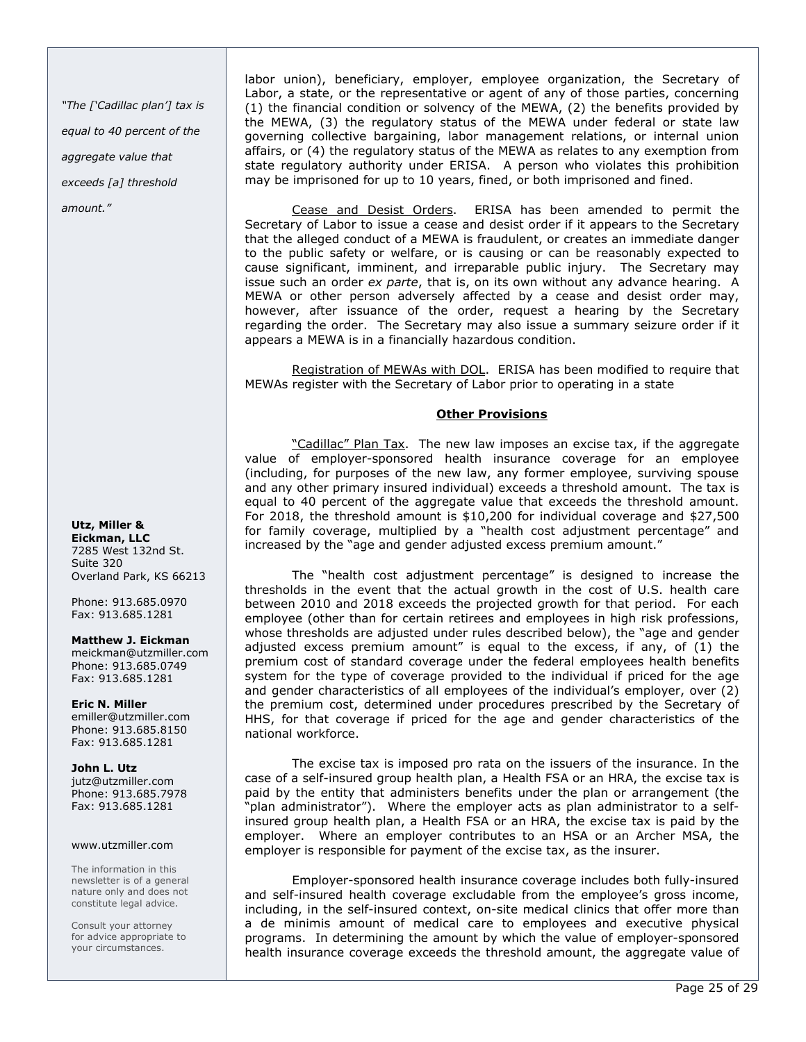"The ['Cadillac plan'] tax is equal to 40 percent of the aggregate value that exceeds [a] threshold amount."

Utz, Miller &

Eickman, LLC 7285 West 132nd St. Suite 320 Overland Park, KS 66213

Phone: 913.685.0970 Fax: 913.685.1281

### Matthew J. Eickman

meickman@utzmiller.com Phone: 913.685.0749 Fax: 913.685.1281

Eric N. Miller emiller@utzmiller.com Phone: 913.685.8150 Fax: 913.685.1281

### John L. Utz

jutz@utzmiller.com Phone: 913.685.7978 Fax: 913.685.1281

### www.utzmiller.com

The information in this newsletter is of a general nature only and does not constitute legal advice.

Consult your attorney for advice appropriate to your circumstances.

labor union), beneficiary, employer, employee organization, the Secretary of Labor, a state, or the representative or agent of any of those parties, concerning (1) the financial condition or solvency of the MEWA, (2) the benefits provided by the MEWA, (3) the regulatory status of the MEWA under federal or state law governing collective bargaining, labor management relations, or internal union affairs, or (4) the regulatory status of the MEWA as relates to any exemption from state regulatory authority under ERISA. A person who violates this prohibition may be imprisoned for up to 10 years, fined, or both imprisoned and fined.

Cease and Desist Orders. ERISA has been amended to permit the Secretary of Labor to issue a cease and desist order if it appears to the Secretary that the alleged conduct of a MEWA is fraudulent, or creates an immediate danger to the public safety or welfare, or is causing or can be reasonably expected to cause significant, imminent, and irreparable public injury. The Secretary may issue such an order ex parte, that is, on its own without any advance hearing. A MEWA or other person adversely affected by a cease and desist order may, however, after issuance of the order, request a hearing by the Secretary regarding the order. The Secretary may also issue a summary seizure order if it appears a MEWA is in a financially hazardous condition.

Registration of MEWAs with DOL. ERISA has been modified to require that MEWAs register with the Secretary of Labor prior to operating in a state

# Other Provisions

"Cadillac" Plan Tax. The new law imposes an excise tax, if the aggregate value of employer-sponsored health insurance coverage for an employee (including, for purposes of the new law, any former employee, surviving spouse and any other primary insured individual) exceeds a threshold amount. The tax is equal to 40 percent of the aggregate value that exceeds the threshold amount. For 2018, the threshold amount is \$10,200 for individual coverage and \$27,500 for family coverage, multiplied by a "health cost adjustment percentage" and increased by the "age and gender adjusted excess premium amount."

The "health cost adjustment percentage" is designed to increase the thresholds in the event that the actual growth in the cost of U.S. health care between 2010 and 2018 exceeds the projected growth for that period. For each employee (other than for certain retirees and employees in high risk professions, whose thresholds are adjusted under rules described below), the "age and gender adjusted excess premium amount" is equal to the excess, if any, of (1) the premium cost of standard coverage under the federal employees health benefits system for the type of coverage provided to the individual if priced for the age and gender characteristics of all employees of the individual's employer, over (2) the premium cost, determined under procedures prescribed by the Secretary of HHS, for that coverage if priced for the age and gender characteristics of the national workforce.

The excise tax is imposed pro rata on the issuers of the insurance. In the case of a self-insured group health plan, a Health FSA or an HRA, the excise tax is paid by the entity that administers benefits under the plan or arrangement (the "plan administrator"). Where the employer acts as plan administrator to a selfinsured group health plan, a Health FSA or an HRA, the excise tax is paid by the employer. Where an employer contributes to an HSA or an Archer MSA, the employer is responsible for payment of the excise tax, as the insurer.

Employer-sponsored health insurance coverage includes both fully-insured and self-insured health coverage excludable from the employee's gross income, including, in the self-insured context, on-site medical clinics that offer more than a de minimis amount of medical care to employees and executive physical programs. In determining the amount by which the value of employer-sponsored health insurance coverage exceeds the threshold amount, the aggregate value of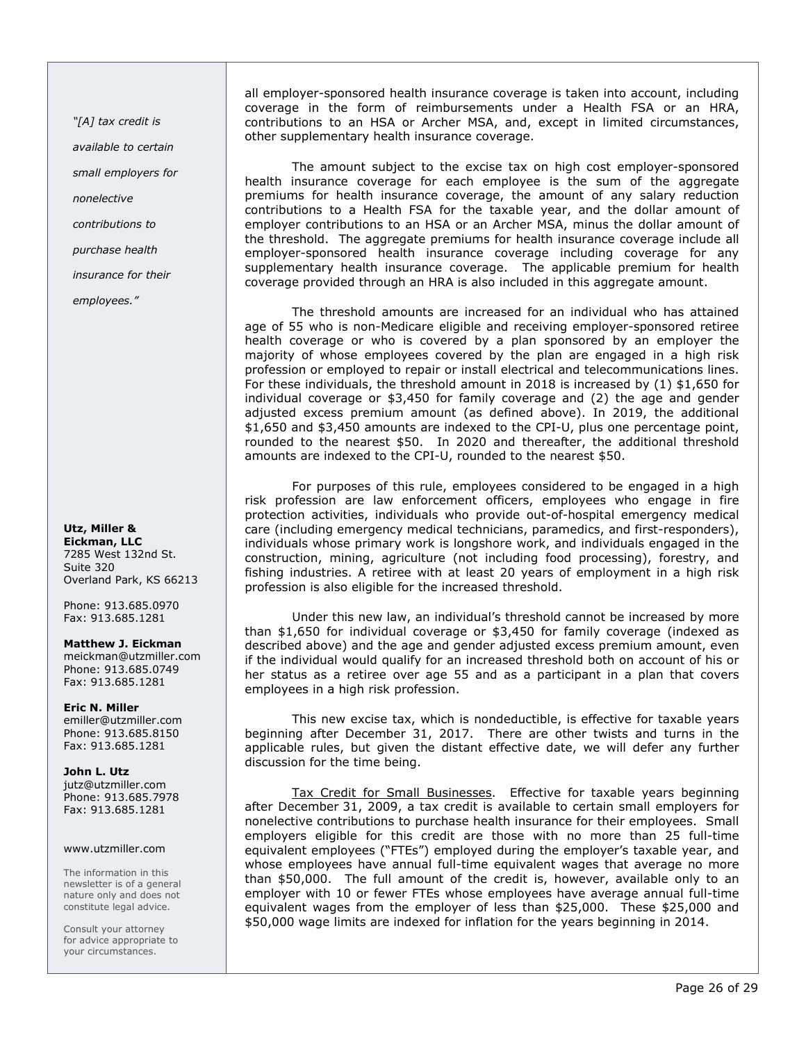"[A] tax credit is available to certain small employers for nonelective contributions to purchase health insurance for their

employees."

Utz, Miller & Eickman, LLC 7285 West 132nd St. Suite 320 Overland Park, KS 66213

Phone: 913.685.0970 Fax: 913.685.1281

# Matthew J. Eickman

meickman@utzmiller.com Phone: 913.685.0749 Fax: 913.685.1281

### Eric N. Miller emiller@utzmiller.com Phone: 913.685.8150

Fax: 913.685.1281

John L. Utz jutz@utzmiller.com Phone: 913.685.7978 Fax: 913.685.1281

### www.utzmiller.com

The information in this newsletter is of a general nature only and does not constitute legal advice.

Consult your attorney for advice appropriate to your circumstances.

all employer-sponsored health insurance coverage is taken into account, including coverage in the form of reimbursements under a Health FSA or an HRA, contributions to an HSA or Archer MSA, and, except in limited circumstances, other supplementary health insurance coverage.

The amount subject to the excise tax on high cost employer-sponsored health insurance coverage for each employee is the sum of the aggregate premiums for health insurance coverage, the amount of any salary reduction contributions to a Health FSA for the taxable year, and the dollar amount of employer contributions to an HSA or an Archer MSA, minus the dollar amount of the threshold. The aggregate premiums for health insurance coverage include all employer-sponsored health insurance coverage including coverage for any supplementary health insurance coverage. The applicable premium for health coverage provided through an HRA is also included in this aggregate amount.

The threshold amounts are increased for an individual who has attained age of 55 who is non-Medicare eligible and receiving employer-sponsored retiree health coverage or who is covered by a plan sponsored by an employer the majority of whose employees covered by the plan are engaged in a high risk profession or employed to repair or install electrical and telecommunications lines. For these individuals, the threshold amount in 2018 is increased by (1) \$1,650 for individual coverage or \$3,450 for family coverage and (2) the age and gender adjusted excess premium amount (as defined above). In 2019, the additional \$1,650 and \$3,450 amounts are indexed to the CPI-U, plus one percentage point, rounded to the nearest \$50. In 2020 and thereafter, the additional threshold amounts are indexed to the CPI-U, rounded to the nearest \$50.

For purposes of this rule, employees considered to be engaged in a high risk profession are law enforcement officers, employees who engage in fire protection activities, individuals who provide out-of-hospital emergency medical care (including emergency medical technicians, paramedics, and first-responders), individuals whose primary work is longshore work, and individuals engaged in the construction, mining, agriculture (not including food processing), forestry, and fishing industries. A retiree with at least 20 years of employment in a high risk profession is also eligible for the increased threshold.

Under this new law, an individual's threshold cannot be increased by more than \$1,650 for individual coverage or \$3,450 for family coverage (indexed as described above) and the age and gender adjusted excess premium amount, even if the individual would qualify for an increased threshold both on account of his or her status as a retiree over age 55 and as a participant in a plan that covers employees in a high risk profession.

This new excise tax, which is nondeductible, is effective for taxable years beginning after December 31, 2017. There are other twists and turns in the applicable rules, but given the distant effective date, we will defer any further discussion for the time being.

Tax Credit for Small Businesses. Effective for taxable years beginning after December 31, 2009, a tax credit is available to certain small employers for nonelective contributions to purchase health insurance for their employees. Small employers eligible for this credit are those with no more than 25 full-time equivalent employees ("FTEs") employed during the employer's taxable year, and whose employees have annual full-time equivalent wages that average no more than \$50,000. The full amount of the credit is, however, available only to an employer with 10 or fewer FTEs whose employees have average annual full-time equivalent wages from the employer of less than \$25,000. These \$25,000 and \$50,000 wage limits are indexed for inflation for the years beginning in 2014.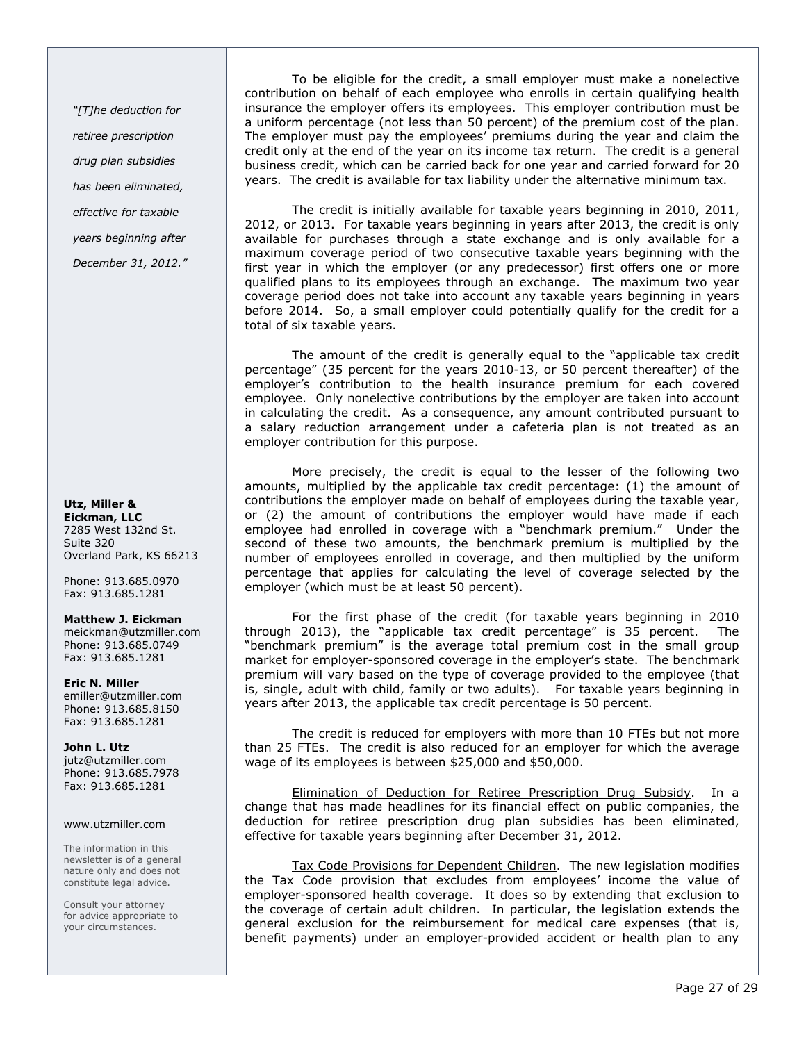"[T]he deduction for retiree prescription drug plan subsidies has been eliminated, effective for taxable years beginning after

December 31, 2012."

Utz, Miller & Eickman, LLC 7285 West 132nd St. Suite 320 Overland Park, KS 66213

Phone: 913.685.0970 Fax: 913.685.1281

Matthew J. Eickman

meickman@utzmiller.com Phone: 913.685.0749 Fax: 913.685.1281

Eric N. Miller emiller@utzmiller.com Phone: 913.685.8150 Fax: 913.685.1281

John L. Utz jutz@utzmiller.com Phone: 913.685.7978 Fax: 913.685.1281

### www.utzmiller.com

The information in this newsletter is of a general nature only and does not constitute legal advice.

Consult your attorney for advice appropriate to your circumstances.

To be eligible for the credit, a small employer must make a nonelective contribution on behalf of each employee who enrolls in certain qualifying health insurance the employer offers its employees. This employer contribution must be a uniform percentage (not less than 50 percent) of the premium cost of the plan. The employer must pay the employees' premiums during the year and claim the credit only at the end of the year on its income tax return. The credit is a general business credit, which can be carried back for one year and carried forward for 20 years. The credit is available for tax liability under the alternative minimum tax.

The credit is initially available for taxable years beginning in 2010, 2011, 2012, or 2013. For taxable years beginning in years after 2013, the credit is only available for purchases through a state exchange and is only available for a maximum coverage period of two consecutive taxable years beginning with the first year in which the employer (or any predecessor) first offers one or more qualified plans to its employees through an exchange. The maximum two year coverage period does not take into account any taxable years beginning in years before 2014. So, a small employer could potentially qualify for the credit for a total of six taxable years.

The amount of the credit is generally equal to the "applicable tax credit percentage" (35 percent for the years 2010-13, or 50 percent thereafter) of the employer's contribution to the health insurance premium for each covered employee. Only nonelective contributions by the employer are taken into account in calculating the credit. As a consequence, any amount contributed pursuant to a salary reduction arrangement under a cafeteria plan is not treated as an employer contribution for this purpose.

More precisely, the credit is equal to the lesser of the following two amounts, multiplied by the applicable tax credit percentage: (1) the amount of contributions the employer made on behalf of employees during the taxable year, or (2) the amount of contributions the employer would have made if each employee had enrolled in coverage with a "benchmark premium." Under the second of these two amounts, the benchmark premium is multiplied by the number of employees enrolled in coverage, and then multiplied by the uniform percentage that applies for calculating the level of coverage selected by the employer (which must be at least 50 percent).

For the first phase of the credit (for taxable years beginning in 2010 through 2013), the "applicable tax credit percentage" is 35 percent. The "benchmark premium" is the average total premium cost in the small group market for employer-sponsored coverage in the employer's state. The benchmark premium will vary based on the type of coverage provided to the employee (that is, single, adult with child, family or two adults). For taxable years beginning in years after 2013, the applicable tax credit percentage is 50 percent.

The credit is reduced for employers with more than 10 FTEs but not more than 25 FTEs. The credit is also reduced for an employer for which the average wage of its employees is between \$25,000 and \$50,000.

Elimination of Deduction for Retiree Prescription Drug Subsidy. In a change that has made headlines for its financial effect on public companies, the deduction for retiree prescription drug plan subsidies has been eliminated, effective for taxable years beginning after December 31, 2012.

Tax Code Provisions for Dependent Children. The new legislation modifies the Tax Code provision that excludes from employees' income the value of employer-sponsored health coverage. It does so by extending that exclusion to the coverage of certain adult children. In particular, the legislation extends the general exclusion for the reimbursement for medical care expenses (that is, benefit payments) under an employer-provided accident or health plan to any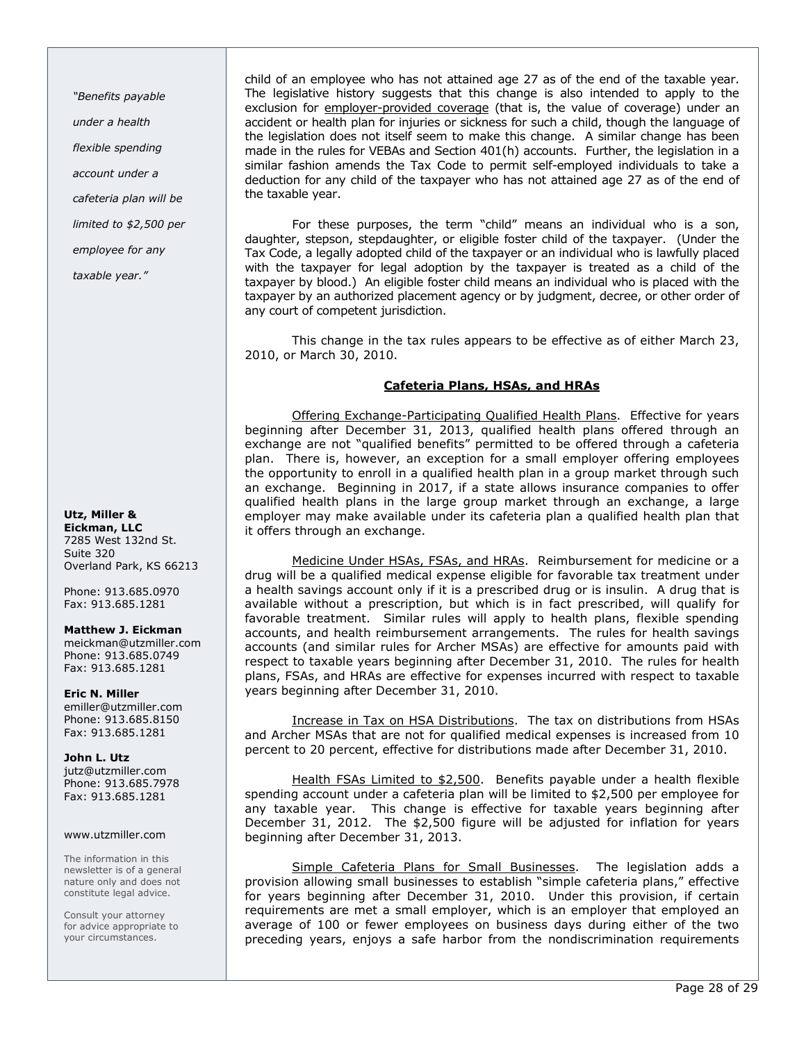"Benefits payable

under a health

flexible spending

account under a

cafeteria plan will be

limited to \$2,500 per

employee for any

taxable year."

# Utz, Miller & Eickman, LLC

7285 West 132nd St. Suite 320 Overland Park, KS 66213

Phone: 913.685.0970 Fax: 913.685.1281

# Matthew J. Eickman

meickman@utzmiller.com Phone: 913.685.0749 Fax: 913.685.1281

Eric N. Miller emiller@utzmiller.com Phone: 913.685.8150 Fax: 913.685.1281

John L. Utz jutz@utzmiller.com Phone: 913.685.7978 Fax: 913.685.1281

### www.utzmiller.com

The information in this newsletter is of a general nature only and does not constitute legal advice.

Consult your attorney for advice appropriate to your circumstances.

child of an employee who has not attained age 27 as of the end of the taxable year. The legislative history suggests that this change is also intended to apply to the exclusion for employer-provided coverage (that is, the value of coverage) under an accident or health plan for injuries or sickness for such a child, though the language of the legislation does not itself seem to make this change. A similar change has been made in the rules for VEBAs and Section 401(h) accounts. Further, the legislation in a similar fashion amends the Tax Code to permit self-employed individuals to take a deduction for any child of the taxpayer who has not attained age 27 as of the end of the taxable year.

For these purposes, the term "child" means an individual who is a son, daughter, stepson, stepdaughter, or eligible foster child of the taxpayer. (Under the Tax Code, a legally adopted child of the taxpayer or an individual who is lawfully placed with the taxpayer for legal adoption by the taxpayer is treated as a child of the taxpayer by blood.) An eligible foster child means an individual who is placed with the taxpayer by an authorized placement agency or by judgment, decree, or other order of any court of competent jurisdiction.

This change in the tax rules appears to be effective as of either March 23, 2010, or March 30, 2010.

# Cafeteria Plans, HSAs, and HRAs

Offering Exchange-Participating Qualified Health Plans. Effective for years beginning after December 31, 2013, qualified health plans offered through an exchange are not "qualified benefits" permitted to be offered through a cafeteria plan. There is, however, an exception for a small employer offering employees the opportunity to enroll in a qualified health plan in a group market through such an exchange. Beginning in 2017, if a state allows insurance companies to offer qualified health plans in the large group market through an exchange, a large employer may make available under its cafeteria plan a qualified health plan that it offers through an exchange.

Medicine Under HSAs, FSAs, and HRAs. Reimbursement for medicine or a drug will be a qualified medical expense eligible for favorable tax treatment under a health savings account only if it is a prescribed drug or is insulin. A drug that is available without a prescription, but which is in fact prescribed, will qualify for favorable treatment. Similar rules will apply to health plans, flexible spending accounts, and health reimbursement arrangements. The rules for health savings accounts (and similar rules for Archer MSAs) are effective for amounts paid with respect to taxable years beginning after December 31, 2010. The rules for health plans, FSAs, and HRAs are effective for expenses incurred with respect to taxable years beginning after December 31, 2010.

Increase in Tax on HSA Distributions. The tax on distributions from HSAs and Archer MSAs that are not for qualified medical expenses is increased from 10 percent to 20 percent, effective for distributions made after December 31, 2010.

Health FSAs Limited to \$2,500. Benefits payable under a health flexible spending account under a cafeteria plan will be limited to \$2,500 per employee for any taxable year. This change is effective for taxable years beginning after December 31, 2012. The \$2,500 figure will be adjusted for inflation for years beginning after December 31, 2013.

Simple Cafeteria Plans for Small Businesses. The legislation adds a provision allowing small businesses to establish "simple cafeteria plans," effective for years beginning after December 31, 2010. Under this provision, if certain requirements are met a small employer, which is an employer that employed an average of 100 or fewer employees on business days during either of the two preceding years, enjoys a safe harbor from the nondiscrimination requirements